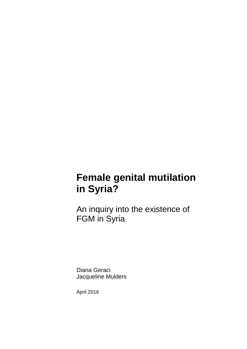# **Female genital mutilation in Syria?**

An inquiry into the existence of FGM in Syria

Diana Geraci Jacqueline Mulders

April 2016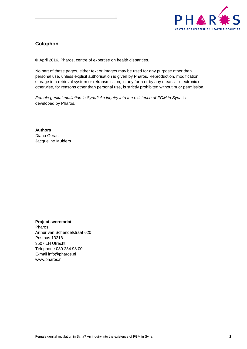

## **Colophon**

© April 2016, Pharos, centre of expertise on health disparities.

No part of these pages, either text or images may be used for any purpose other than personal use, unless explicit authorisation is given by Pharos. Reproduction, modification, storage in a retrieval system or retransmission, in any form or by any means – electronic or otherwise, for reasons other than personal use, is strictly prohibited without prior permission.

*Female genital mutilation in Syria? An inquiry into the existence of FGM in Syria* is developed by Pharos.

**Authors** Diana Geraci Jacqueline Mulders

**Project secretariat** Pharos Arthur van Schendelstraat 620 Postbus 13318 3507 LH Utrecht Telephone 030 234 98 00 E-mail info@pharos.nl www.pharos.nl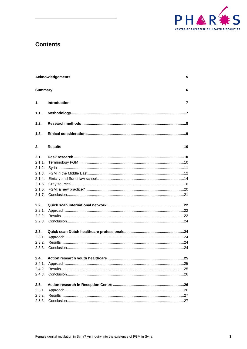

## **Contents**

|                | <b>Acknowledgements</b> |                |  |  |  |
|----------------|-------------------------|----------------|--|--|--|
| <b>Summary</b> |                         | 6              |  |  |  |
| 1.             | Introduction            | $\overline{7}$ |  |  |  |
| 1.1.           |                         |                |  |  |  |
| 1.2.           |                         |                |  |  |  |
| 1.3.           |                         |                |  |  |  |
| 2.             | <b>Results</b>          | 10             |  |  |  |
| 2.1.           |                         |                |  |  |  |
| 2.1.1.         |                         |                |  |  |  |
| 2.1.2.         |                         |                |  |  |  |
| 2.1.3.         |                         |                |  |  |  |
| 2.1.4.         |                         |                |  |  |  |
| 2.1.5.         |                         |                |  |  |  |
| 2.1.6.         |                         |                |  |  |  |
|                |                         |                |  |  |  |
| 2.2.           |                         |                |  |  |  |
| 2.2.1.         |                         |                |  |  |  |
| 2.2.2.         |                         |                |  |  |  |
|                |                         |                |  |  |  |
| 2.3.           |                         |                |  |  |  |
| 2.3.1.         |                         |                |  |  |  |
| 2.3.2.         |                         |                |  |  |  |
|                |                         |                |  |  |  |
| 2.4.           |                         |                |  |  |  |
| 2.4.1.         |                         |                |  |  |  |
| 2.4.2.         |                         |                |  |  |  |
|                |                         |                |  |  |  |
| 2.5.           |                         |                |  |  |  |
| 2.5.1.         |                         |                |  |  |  |
| 2.5.2.         |                         |                |  |  |  |
| 2.5.3.         |                         |                |  |  |  |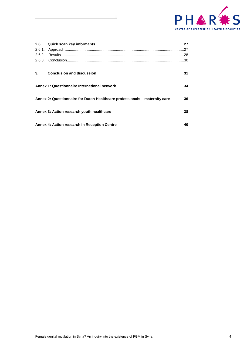

| 3. | <b>Conclusion and discussion</b>                                           | 31 |
|----|----------------------------------------------------------------------------|----|
|    | Annex 1: Questionnaire International network                               | 34 |
|    |                                                                            |    |
|    | Annex 2: Questionnaire for Dutch Healthcare professionals - maternity care | 36 |
|    |                                                                            |    |
|    | Annex 3: Action research youth healthcare                                  | 38 |
|    |                                                                            |    |
|    | Annex 4: Action research in Reception Centre                               | 40 |
|    |                                                                            |    |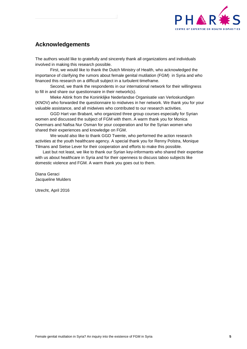

## <span id="page-4-0"></span>**Acknowledgements**

The authors would like to gratefully and sincerely thank all organizations and individuals involved in making this research possible.

First, we would like to thank the Dutch Ministry of Health, who acknowledged the importance of clarifying the rumors about female genital mutilation (FGM) in Syria and who financed this research on a difficult subject in a turbulent timeframe.

Second, we thank the respondents in our international network for their willingness to fill in and share our questionnaire in their network(s).

Mieke Aitink from the Koninklijke Nederlandse Organisatie van Verloskundigen (KNOV) who forwarded the questionnaire to midwives in her network. We thank you for your valuable assistance, and all midwives who contributed to our research activities.

GGD Hart van Brabant, who organized three group courses especially for Syrian women and discussed the subject of FGM with them. A warm thank you for Monica Overmars and Nafisa Nur Osman for your cooperation and for the Syrian women who shared their experiences and knowledge on FGM.

We would also like to thank GGD Twente, who performed the action research activities at the youth healthcare agency. A special thank you for Renny Polstra, Monique Tilmans and Sietse Lever for their cooperation and efforts to make this possible.

Last but not least, we like to thank our Syrian key-informants who shared their expertise with us about healthcare in Syria and for their openness to discuss taboo subjects like domestic violence and FGM. A warm thank you goes out to them.

Diana Geraci Jacqueline Mulders

Utrecht, April 2016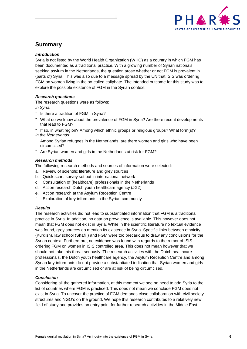

## <span id="page-5-0"></span>**Summary**

#### *Introduction*

Syria is not listed by the World Health Organization (WHO) as a country in which FGM has been documented as a traditional practice. With a growing number of Syrian nationals seeking asylum in the Netherlands, the question arose whether or not FGM is prevalent in (parts of) Syria. This was also due to a message spread by the UN that ISIS was ordering FGM on women living in the so-called caliphate. The intended outcome for this study was to explore the possible existence of FGM in the Syrian context.

#### *Research questions*

The research questions were as follows:

*In Syria:* 

- Is there a tradition of FGM in Syria?
- What do we know about the prevalence of FGM in Syria? Are there recent developments that lead to FGM?
- If so, in what region? Among which ethnic groups or religious groups? What form(s)? *In the Netherlands:*
- Among Syrian refugees in the Netherlands, are there women and girls who have been circumcised?
- Are Syrian women and girls in the Netherlands at risk for FGM?

#### *Research methods*

The following research methods and sources of information were selected:

- a. Review of scientific literature and grey sources
- b. Quick scan: survey set out in international network
- c. Consultation of (healthcare) professionals in the Netherlands
- d. Action research Dutch youth healthcare agency (JGZ)
- e. Action research at the Asylum Reception Centre
- f. Exploration of key-informants in the Syrian community

#### *Results*

The research activities did not lead to substantiated information that FGM is a traditional practice in Syria. In addition, no data on prevalence is available. This however does not mean that FGM does not exist in Syria. While in the scientific literature no textual evidence was found, grey sources do mention its existence in Syria. Specific links between ethnicity (Kurdish), law school (Shafi'i) and FGM were too precarious to draw any conclusions for the Syrian context. Furthermore, no evidence was found with regards to the rumor of ISIS ordering FGM on women in ISIS controlled area. This does not mean however that we should not take this threat seriously. The research activities with the Dutch healthcare professionals, the Dutch youth healthcare agency, the Asylum Reception Centre and among Syrian key-informants do not provide a substantiated indication that Syrian women and girls in the Netherlands are circumcised or are at risk of being circumcised.

#### *Conclusion*

Considering all the gathered information, at this moment we see no need to add Syria to the list of countries where FGM is practiced. This does not mean we conclude FGM does not exist in Syria. To uncover the practice of FGM demands close collaboration with civil society structures and NGO's on the ground. We hope this research contributes to a relatively new field of study and provides an entry point for further research activities in the Middle East.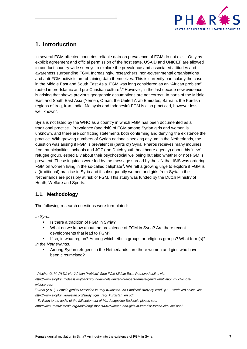

## <span id="page-6-0"></span>**1. Introduction**

In several FGM affected countries reliable data on prevalence of FGM do not exist. Only by explicit agreement and official permission of the host state, USAID and UNICEF are allowed to conduct country-wide surveys to explore the prevalence and associated attitudes and awareness surrounding FGM. Increasingly, researchers, non-governmental organisations and anti-FGM activists are obtaining data themselves. This is currently particularly the case in the Middle East and South East Asia. FGM was long considered as an "African problem" rooted in pre-Islamic and pre-Christian culture<sup>[1](#page-6-2)</sup>." However, in the last decade new evidence is arising that shows previous geographic assumptions are not correct. In parts of the Middle East and South East Asia (Yemen, Oman, the United Arab Emirates, Bahrain, the Kurdish regions of Iraq, Iran, India, Malaysia and Indonesia) FGM is also practiced, however less well known<sup>[2](#page-6-3)</sup>.

Syria is not listed by the WHO as a country in which FGM has been documented as a traditional practice. Prevalence (and risk) of FGM among Syrian girls and women is unknown, and there are conflicting statements both confirming and denying the existence the practice. With growing numbers of Syrian nationals seeking asylum in the Netherlands, the question was arising if FGM is prevalent in (parts of) Syria. Pharos receives many inquiries from municipalities, schools and JGZ (the Dutch youth healthcare agency) about this 'new' refugee group, especially about their psychosocial wellbeing but also whether or not FGM is prevalent. These inquiries were fed by the message spread by the UN that ISIS was ordering FGM on women living in the so-called caliphate<sup>[3](#page-6-4)</sup>. We felt a growing urge to explore if FGM is a (traditional) practice in Syria and if subsequently women and girls from Syria in the Netherlands are possibly at risk of FGM. This study was funded by the Dutch Ministry of Heath, Welfare and Sports.

## <span id="page-6-1"></span>**1.1. Methodology**

The following research questions were formulated:

*In Syria:*

- **IS there a tradition of FGM in Syria?**
- What do we know about the prevalence of FGM in Syria? Are there recent developments that lead to FGM?

If so, in what region? Among which ethnic groups or religious groups? What form(s)? *In the Netherlands:*

 Among Syrian refugees in the Netherlands, are there women and girls who have been circumcised?

<span id="page-6-2"></span>*<sup>1</sup> Piecha, O. M. (N.D.) No "African Problem" Stop FGM Middle East. Retrieved online via:* 

*http://www.stopfgmmideast.org/background/unicefs-limited-numbers-female-genital-mutilation-much-morewidespread/*

<span id="page-6-3"></span>*<sup>2</sup> Wadi (2010). Female genital Mutilation in Iraqi-Kurdistan. An Empirical study by Wadi. p.1. Retrieved online via: http://www.stopfgmkurdistan.org/study\_fgm\_iraqi\_kurdistan\_en.pdf* 

<span id="page-6-4"></span>*<sup>3</sup> To listen to the audio of the full statement of Ms. Jacqueline Badcock, please see:* 

*http://www.unmultimedia.org/radio/english/2014/07/women-and-girls-in-iraq-risk-forced-circumcision/*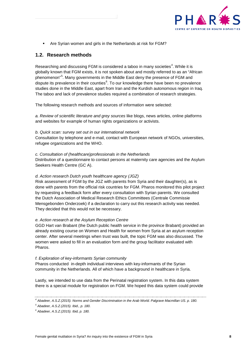

Are Syrian women and girls in the Netherlands at risk for FGM?

#### <span id="page-7-0"></span>**1.2. Research methods**

Researching and discussing FGM is considered a taboo in many societies<sup>[4](#page-7-1)</sup>. While it is globally known that FGM exists, it is not spoken about and mostly referred to as an "African phenomenon"<sup>[5](#page-7-2)</sup>. Many governments in the Middle East deny the presence of FGM and dispute its prevalence in their counties<sup>[6](#page-7-3)</sup>. To our knowledge there have been no prevalence studies done in the Middle East, apart from Iran and the Kurdish autonomous region in Iraq. The taboo and lack of prevalence studies required a combination of research strategies.

The following research methods and sources of information were selected:

*a. Review of scientific literature and grey sources* like blogs, news articles, online platforms and websites for example of human rights organizations or activists.

#### *b. Quick scan: survey set out in our international network*

Consultation by telephone and e-mail, contact with European network of NGOs, universities, refugee organizations and the WHO.

*c. Consultation of (healthcare)professionals in the Netherlands* 

Distribution of a questionnaire to contact persons at maternity care agencies and the Asylum Seekers Health Centre (GC A).

#### *d. Action research Dutch youth healthcare agency (JGZ)*

Risk assessment of FGM by the JGZ with parents from Syria and their daughter(s), as is done with parents from the official risk countries for FGM. Pharos monitored this pilot project by requesting a feedback form after every consultation with Syrian parents. We consulted the Dutch Association of Medical Research Ethics Committees (Centrale Commissie Mensgebonden Onderzoek) if a declaration to carry out this research activity was needed. They decided that this would not be necessary.

#### *e. Action research at the Asylum Reception Centre*

GGD Hart van Brabant (the Dutch public health service in the province Brabant) provided an already existing course on Women and Health for women from Syria at an asylum reception center. After several meetings when trust was built, the topic FGM was also discussed. The women were asked to fill in an evaluation form and the group facilitator evaluated with Pharos.

#### *f. Exploration of key-informants Syrian community*

Pharos conducted in-depth individual interviews with key-informants of the Syrian community in the Netherlands. All of which have a background in healthcare in Syria.

Lastly, we intended to use data from the Perinatal registration system. In this data system there is a special module for registration on FGM. We hoped this data system could provide

<span id="page-7-1"></span>*<sup>4</sup> Abadeer, A.S.Z.(2015). Norms and Gender Discrimination in the Arab World. Palgrave Macmillan US. p. 180.*

<span id="page-7-2"></span>*<sup>5</sup> Abadeer, A.S.Z.(2015). Ibid., p. 180.*

<span id="page-7-3"></span>*<sup>6</sup> Abadeer, A.S.Z.(2015). Ibid, p. 180.*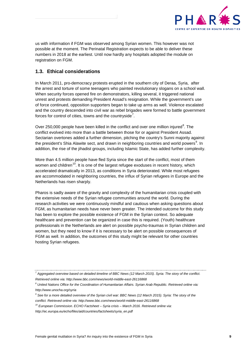

us with information if FGM was observed among Syrian women. This however was not possible at the moment. The Perinatal Registration expects to be able to deliver these numbers in 2018 at the earliest. Until now hardly any hospitals adopted the module on registration on FGM.

## <span id="page-8-0"></span>**1.3. Ethical considerations**

In March 2011, pro-democracy protests erupted in the southern city of Deraa, Syria, after the arrest and torture of some teenagers who painted revolutionary slogans on a school wall. When security forces opened fire on demonstrators, killing several, it triggered national unrest and protests demanding President Assad's resignation. While the government's use of force continued, opposition supporters began to take up arms as well. Violence escalated and the country descended into civil war as rebel brigades were formed to battle government forces for control of cities, towns and the countryside<sup>[7](#page-8-1)</sup>.

Over 250,000 people have been killed in the conflict and over one million injured $8$ . The conflict evolved into more than a battle between those for or against President Assad. Sectarian overtones added a further dimension, pitching the country's Sunni majority against the president's Shia Alawite sect, and drawn in neighboring countries and world powers<sup>[9](#page-8-3)</sup>. In addition, the rise of the jihadist groups, including Islamic State, has added further complexity.

More than 4.5 million people have fled Syria since the start of the conflict, most of them women and children<sup>[10](#page-8-4)</sup>. It is one of the largest refugee exoduses in recent history, which accelerated dramatically in 2013, as conditions in Syria deteriorated. While most refugees are accommodated in neighboring countries, the influx of Syrian refugees in Europe and the Netherlands has risen sharply.

Pharos is sadly aware of the gravity and complexity of the humanitarian crisis coupled with the extensive needs of the Syrian refugee communities around the world. During the research activities we were continuously mindful and cautious when asking questions about FGM, as humanitarian needs have never been greater. The intended outcome for this study has been to explore the possible existence of FGM in the Syrian context. So adequate healthcare and prevention can be organized in case this is required. (Youth) healthcare professionals in the Netherlands are alert on possible psycho-traumas in Syrian children and women, but they need to know if it is necessary to be alert on possible consequences of FGM as well. In addition, the outcomes of this study might be relevant for other countries hosting Syrian refugees.

<span id="page-8-1"></span>*<sup>7</sup> Aggregated overview based on detailed timeline of BBC News (12 March 2015). Syria: The story of the conflict. Retrieved online via: http://www.bbc.com/news/world-middle-east-26116868*

<span id="page-8-2"></span>*<sup>8</sup> United Nations Office for the Coordination of Humanitarian Affairs. Syrian Arab Republic. Retrieved online via: http://www.unocha.org/syria*

<span id="page-8-3"></span>*<sup>9</sup> See for a more detailed overview of the Syrian civil war: BBC News (12 March 2015). Syria: The story of the conflict. Retrieved online via: http://www.bbc.com/news/world-middle-east-26116868*

<span id="page-8-4"></span>*<sup>10</sup> European Commission. ECHO Factsheet – Syria crisis – March 2016. Retrieved online via:* 

*http://ec.europa.eu/echo/files/aid/countries/factsheets/syria\_en.pdf*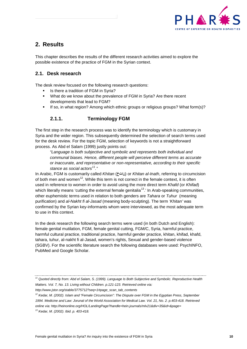

## <span id="page-9-0"></span>**2. Results**

This chapter describes the results of the different research activities aimed to explore the possible existence of the practice of FGM in the Syrian context.

## <span id="page-9-1"></span>**2.1. Desk research**

The desk review focused on the following research questions:

- Is there a tradition of FGM in Syria?
- **What do we know about the prevalence of FGM in Syria? Are there recent** developments that lead to FGM?
- If so, in what region? Among which ethnic groups or religious groups? What form(s)?

## **2.1.1. Terminology FGM**

<span id="page-9-2"></span>The first step in the research process was to identify the terminology which is customary in Syria and the wider region. This subsequently determined the selection of search terms used for the desk review. For the topic FGM, selection of keywords is not a straightforward process. As Abd el Salam (1999) justly points out:

*"Language is both subjective and symbolic and represents both individual and communal biases. Hence, different people will perceive different terms as accurate or inaccurate, and representative or non-representative, according to their specific stance as social actors[11](#page-9-3)."* 

In Arabic, FGM is customarily called *Khitan* ( $i$ ناتخ) or *Khitan al-Inath*, referring to circumcision of both men and women<sup>[12](#page-9-4)</sup>. While this term is not correct in the female context, it is often used in reference to women in order to avoid using the more direct term *Khafd* (or *Khifad*) which literally means 'cutting the external female genitalia<sup>[13](#page-9-5)</sup>.' In Arab-speaking communities, other euphemistic terms used in relation to both genders are *Tahara* or *Tuhur* (meaning purification) and *al-Nakht fi al-Jasad* (meaning body-sculpting). The term *'Khitan'* was confirmed by the Syrian key-informants whom were interviewed, as the most adequate term to use in this context.

In the desk research the following search terms were used (in both Dutch and English): female genital mutilation, FGM, female genital cutting, FGM/C, Syria, harmful practice, harmful cultural practice, traditional practice, harmful gender practice, khitan, khifad, khafd, tahara, tuhur, al-nakht fi al-Jasad, women's rights, Sexual and gender-based violence (SGBV). For the scientific literature search the following databases were used: PsychINFO, PubMed and Google Scholar.

<span id="page-9-3"></span>*<sup>11</sup> Quoted directly from: Abd el Salam, S. (1999). Language Is Both Subjective and Symbolic. Reproductive Health Matters. Vol. 7, No. 13. Living without Children. p.121-123. Retrieved online via:* 

*http://www.jstor.org/stable/3775712?seq=1#page\_scan\_tab\_contents*

<span id="page-9-4"></span>*<sup>12</sup> Kedar, M. (2002). Islam and "Female Circumcision": The Dispute over FGM in the Egyptian Press, September 1994. Medicine and Law: Jorunal of the World Association for Medical Law. Vol. 21, No. 2. p.403-418. Retrieved online via: http://heinonline.org/HOL/LandingPage?handle=hein.journals/mlv21&div=35&id=&page=*

<span id="page-9-5"></span>*<sup>13</sup> Kedar, M. (2002). Ibid. p. 403-418.*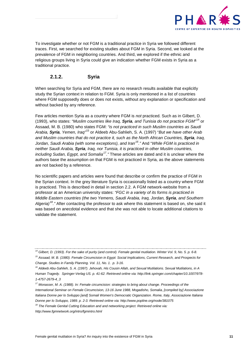

To investigate whether or not FGM is a traditional practice in Syria we followed different traces. First, we searched for existing studies about FGM in Syria. Second, we looked at the prevalence of FGM in neighboring countries. And third, we explored if the ethnic and religious groups living in Syria could give an indication whether FGM exists in Syria as a traditional practice.

#### **2.1.2. Syria**

<span id="page-10-0"></span>When searching for Syria and FGM, there are no research results available that explicitly study the Syrian context in relation to FGM. Syria is only mentioned in a list of countries where FGM supposedly does or does not exists, without any explanation or specification and without backed by any reference.

Few articles mention Syria as a country where FGM is *not* practiced. Such as in Gilbert, D. (1993), who states: *"Muslim countries like Iraq, Syria, and Tunisia do not practice FGM"* [14](#page-10-1) or Assaad, M. B. (1980) who states FGM: *"is not practiced in such Muslim countries as Saudi Arabia, Syria, Yemen, Iraq"* [15](#page-10-2) or Aldeeb Abu-Sahlieh, S. A. (1997) "*But we have other Arab and Muslim countries that do not practice it, such as the North African Countries, Syria, Iraq, Jordan, Saudi Arabia (with some exceptions), and Iran[16.](#page-10-3)"* And "*While FGM is practiced in neither Saudi Arabia, Syria, Iraq, nor Tunisia, it is practiced in other Muslim countries, including Sudan, Egypt, and Somalia[17](#page-10-4)."* These articles are dated and it is unclear where the authors base the assumption on that FGM is not practiced in Syria, as the above statements are not backed by a reference.

No scientific papers and articles were found that describe or confirm the practice of FGM in the Syrian context. In the grey literature Syria is occasionally listed as a country where FGM is practiced. This is described in detail in section 2.2. A FGM network-website from a professor at an American university states: *"FGC in a variety of its forms is practiced in Middle Eastern countries (the two Yemens, Saudi Arabia, Iraq, Jordan, Syria, and Southern Algeria)[18](#page-10-5)."* After contacting the professor to ask where this statement is based on, she said it was based on anecdotal evidence and that she was not able to locate additional citations to validate the statement.

<span id="page-10-2"></span>*<sup>15</sup> Assaad, M. B. (1980). Female Circumcision in Egypt: Social Implications, Current Research, and Prospects for Change. Studies in Family Planning. Vol. 11, No. 1. p. 3-16.*

<span id="page-10-1"></span>*<sup>14</sup> Gilbert, D. (1993). For the sake of purity (and control). Female genital mutilation. Winter Vol. 9, No. 5. p. 6-8.*

<span id="page-10-3"></span>*<sup>16</sup> Aldeeb Abu-Sahlieh, S. A. (1997). Jehovah, His Cousin Allah, and Sexual Mutilations. Sexual Mutilations, in A Human Tragedy. Springer-Verlag US. p. 41-62. Retrieved online via: http://link.springer.com/chapter/10.1007/978- 1-4757-2679-4\_3*

<span id="page-10-4"></span>*<sup>17</sup> Monasser, M. A. (1988). In: Female circumcision: strategies to bring about change. Proceedings of the International Seminar on Female Circumcision, 13-16 June 1988, Mogadisho, Somalia, [compiled by] Associazione Italiana Donne per lo Sviluppo [and] Somali Women's Democratic Organization. Rome, Italy, Associazione Italiana Donne per lo Sviluppo, 1989. p. 2-3. Retrieved online via: http://www.popline.org/node/381075*

<span id="page-10-5"></span>*<sup>18</sup> The Female Genital Cutting Education and and networking project. Retrieved online via: http://www.fgmnetwork.org/intro/fgmintro.html*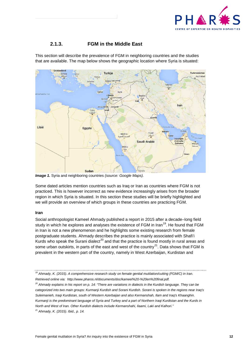

## **2.1.3. FGM in the Middle East**

<span id="page-11-0"></span>This section will describe the prevalence of FGM in neighboring countries and the studies that are available. The map below shows the geographic location where Syria is situated:



*Image 1.* Syria and neighboring countries *(source: Google Maps).*

Some dated articles mention countries such as Iraq or Iran as countries where FGM is not practiced. This is however incorrect as new evidence increasingly arises from the broader region in which Syria is situated. In this section these studies will be briefly highlighted and we will provide an overview of which groups in these countries are practicing FGM.

#### **Iran**

Social anthropologist Kameel Ahmady published a report in 2015 after a decade–long field study in which he explores and analyses the existence of FGM in Iran<sup>[19](#page-11-1)</sup>. He found that FGM in Iran is not a new phenomenon and he highlights some existing research from female postgraduate students. Ahmady describes the practice is mainly associated with Shafi'i Kurds who speak the Surani dialect<sup>[20](#page-11-2)</sup> and that the practice is found mostly in rural areas and some urban outskirts, in parts of the east and west of the country<sup>21</sup>. Data shows that FGM is prevalent in the western part of the country, namely in West Azerbaijan, Kurdistan and

<span id="page-11-1"></span>*<sup>19</sup> Ahmady, K. (2015). A comprehensive research study on female genital mutilation/cutting (FGM/C) in Iran. Retrieved online via: http://www.pharos.nl/documents/doc/kameel%20-%20en%20final.pdf.* 

<span id="page-11-3"></span><span id="page-11-2"></span>*<sup>20</sup> Ahmady explains in his report on p. 14: "There are variations in dialects in the Kurdish language. They can be categorized into two main groups: Kurmanji Kurdish and Sorani Kurdish. Sorani is spoken in the regions near Iraq's Suleimanieh, Iraqi Kurdistan, south of Western Azerbaijan and also Kermanshah, Ilam and Iraq's Khaanghin. Kurmanji is the predominant language of Syria and Turkey and a part of Northern Iraqi Kurdistan and the Kurds in North and West of Iran. Other Kurdish dialects include Kermanshahi, Ilaami, Laki and Kalhori." <sup>21</sup> Ahmady, K. (2015). Ibid., p. 14.*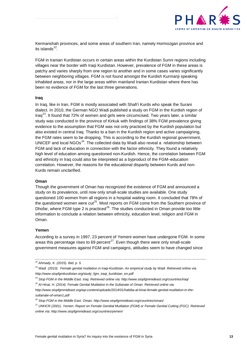

Kermanshah provinces, and some areas of southern Iran, namely Hormozgan province and its islands $^{22}$ .

FGM in Iranian Kurdistan occurs in certain areas within the Kurdistan Sunni regions including villages near the border with Iraqi Kurdistan. However, prevalence of FGM in these areas is patchy and varies sharply from one region to another and in some cases varies significantly between neighboring villages. FGM is not found amongst the Kurdish Kurmanji speaking inhabited areas, nor in the large areas within mainland Iranian Kurdistan where there has been no evidence of FGM for the last three generations.

#### **Iraq**

In Iraq, like in Iran, FGM is mostly associated with Shafi'i Kurds who speak the Surani dialect. In 2010, the German NGO Wadi published a study on FGM in the Kurdish region of Iraq<sup>[23](#page-12-1)</sup>. It found that 72% of women and girls were circumcised. Two years later, a similar study was conducted in the province of Kirkuk with findings of 38% FGM prevalence giving evidence to the assumption that FGM was not only practiced by the Kurdish population but also existed in central Iraq. Thanks to a ban in the Kurdish region and active campaigning, the FGM rates seem to be dropping. This is according to the Kurdish regional government, UNICEF and local  $NGOs<sup>24</sup>$  $NGOs<sup>24</sup>$  $NGOs<sup>24</sup>$ . The collected data by Wadi also reveal a relationship between FGM and lack of education in connection with the factor ethnicity. They found a relatively high level of education among questioned non-Kurdish. Hence, the correlation between FGM and ethnicity in Iraq could also be interpreted as a byproduct of the FGM–education correlation. However, the reasons for the educational disparity between Kurds and non-Kurds remain unclarified.

#### **Oman**

Though the government of Oman has recognized the existence of FGM and announced a study on its prevalence, until now only small-scale studies are available. One study questioned 100 women from all regions in a hospital waiting room. It concluded that 78% of the questioned women were cut<sup>[25](#page-12-3)</sup>. Most reports on FGM come from the Southern province of Dhofar, where FGM type 2 is practiced<sup>[26](#page-12-4)</sup>. The studies conducted in Oman provide too little information to conclude a relation between ethnicity, education level, religion and FGM in Oman.

#### **Yemen**

According to a survey in 1997, 23 percent of Yemeni women have undergone FGM. In some areas this percentage rises to 69 percent $^{27}$  $^{27}$  $^{27}$ . Even though there were only small-scale government measures against FGM and campaigns, attitudes seem to have changed since

<span id="page-12-0"></span>*<sup>22</sup> Ahmady, K. (2015). Ibid. p. 5.*

<span id="page-12-1"></span>*<sup>23</sup> Wadi (2010). Female genital mutilation in Iraqi-Kurdistan. An empirical study by Wadi. Retrieved online via: http://www.stopfgmkurdistan.org/study\_fgm\_iraqi\_kurdistan\_en.pdf*

<span id="page-12-2"></span>*<sup>24</sup> Stop FGM in the Middle East. Iraq. Retrieved online via: http://www.stopfgmmideast.org/countries/iraq/ <sup>25</sup> Al Hinai, H. (2014). Female Genital Mutilation in the Sultanate of Oman. Retrieved online via:* 

<span id="page-12-3"></span>*http://www.stopfgmmideast.org/wp-content/uploads/2014/01/habiba-al-hinai-female-genital-mutilation-in-the-*

*sultanate-of-oman1.pdf*

<span id="page-12-4"></span>*<sup>26</sup> Stop FGM in the Middle East. Oman. http://www.stopfgmmideast.org/countries/oman/*

<span id="page-12-5"></span>*<sup>27</sup> UNHCR (2001). Yemen: Report on Female Gentital Mutilation (FGM) or Female Genital Cutting (FGC). Retrieved online via: http://www.stopfgmmideast.org/countries/yemen/*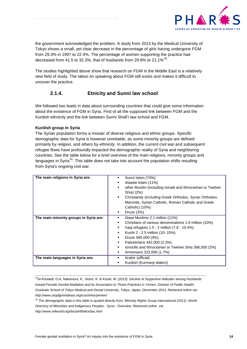

the government acknowledged the problem. A study from 2013 by the Medical University of Tokyo shows a small, yet clear decrease in the percentage of girls having undergone FGM from 29.3% in 1997 to 22.4%. The percentage of women supporting the practice had decreased from 41.5 to 32.3%, that of husbands from 29.8% to 21.1% $^{28}$  $^{28}$  $^{28}$ .

The studies highlighted above show that research on FGM in the Middle East is a relatively new field of study. The taboo on speaking about FGM still exists and makes it difficult to uncover the practice.

## **2.1.4. Etnicity and Sunni law school**

<span id="page-13-0"></span>We followed two leads in data about surrounding countries that could give some information about the existence of FGM in Syria. First of all the supposed link between FGM and the Kurdish ethnicity and the link between Sunni Shafi'i law school and FGM.

#### **Kurdish group in Syria**

The Syrian population forms a mosaic of diverse religious and ethnic groups. Specific demographic data for Syria is however unreliable, as some minority groups are defined primarily by *religion*, and others by *ethnicity*. In addition, the current civil war and subsequent refugee flows have profoundly impacted the demographic reality of Syria and neighboring countries. See the table below for a brief overview of the main religions, minority groups and languages in Syria<sup>[29](#page-13-2)</sup>. This table does not take into account the population shifts resulting from Syria's ongoing civil war.

| The main religions in Syria are:       | Sunni Islam (74%)<br>Alawite Islam (11%)<br>other Muslim (including Ismaili and Ithna'ashari or Twelver<br>Shia) (2%)<br>Christianity (including Greek Orthodox, Syriac Orthodox,<br>$\blacksquare$<br>Maronite, Syrian Catholic, Roman Catholic and Greek<br>Catholic) (10%)<br>Druze $(3%)$<br>٠ |
|----------------------------------------|----------------------------------------------------------------------------------------------------------------------------------------------------------------------------------------------------------------------------------------------------------------------------------------------------|
| The main minority groups in Syria are: | Alawi Muslims 2.1 million (11%)<br>٠<br>Christians of various denominations 1.9 million (10%)<br>٠<br>Iraqi refugees $1.5 - 2$ million $(7.8 - 10.4\%)$<br>٠<br>Kurds 2 - 2.5 million (10- 15%)<br>٠<br>Druze 580,000 (3%)<br>٠                                                                    |
| The main languages in Syria are:       | Palestinians 442,000 (2.3%)<br>٠<br>Isma'ilis and Ithna'ashari or Twelver Shia 386,000 (2%)<br>٠<br>Armenians 323,000 (1.7%)<br>٠<br>Arabic (official)<br>Kurdish (Kurmanji dialect)                                                                                                               |

<span id="page-13-1"></span>*28Al-Khulaidi, G.A, Nakamura, K., Seino, K. & Kizuki, M. (2013). Decline of Supportive Attitudes among Husbands toward Female Genital Mutilation and Its Association to Those Practices in Yemen. Division of Public Health, Graduate School of Tokyo Medical and Dental University, Tokyo, Japan, December 2013. Retrieved online via: http://www.stopfgmmideast.org/countries/yemen/*

<span id="page-13-2"></span>*<sup>29</sup> The demographic data in this table is quoted directly from: Minority Rights Group International (2011). World Directory of Minorities and Indigenous Peoples - Syria : Overview. Retrieved online via:*

*http://www.refworld.org/docid/4954ce5ac.html*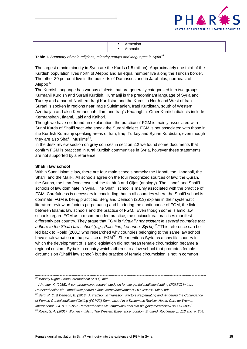

Table 1. Summary of main religions, minority groups and languages in Syria<sup>16</sup>.

The largest ethnic minority in Syria are the Kurds (1.5 million). Approximately one third of the Kurdish population lives north of Aleppo and an equal number live along the Turkish border. The other 30 per cent live in the outskirts of Damascus and in Jarabulus, northeast of Aleppo $30$ .

The Kurdish language has various dialects, but are generally categorized into two groups: Kurmanji Kurdish and Surani Kurdish. Kurmanji is the predominant language of Syria and Turkey and a part of Northern Iraqi Kurdistan and the Kurds in North and West of Iran. Surani is spoken in regions near Iraq's Suleimanieh, Iraqi Kurdistan, south of Western Azerbaijan and also Kermanshah, Ilam and Iraq's Khaanghin. Other Kurdish dialects include Kermanshahi, Ilaami, Laki and Kalhori.

Though we have not found an explanation, the practice of FGM is mainly associated with Sunni Kurds of Shafi'i sect who speak the Surani dialect. FGM is not associated with those in the Kurdish Kurmanji speaking areas of Iran, Iraq, Turkey and Syrian Kurdistan, even though they are also Shafi'i Muslims $^{31}$  $^{31}$  $^{31}$ .

In the desk review section on grey sources in section 2.2 we found some documents that confirm FGM is practiced in rural Kurdish communities in Syria, however these statements are not supported by a reference.

#### **Shafi'i law school**

Within Sunni Islamic law, there are four main schools namely: the Hanafi, the Hanabali, the Shafi'i and the Maliki. All schools agree on the four recognized sources of law: the Quran, the Sunna, the Ijma (concensus of the faithful) and Qijas (analogy). The Hanafi and Shafi'i schools of law dominate in Syria .The Shafi'i school is mainly associated with the practice of FGM. Carefulness is necessary in concluding that in all countries where the Shafi'i school is dominate, FGM is being practiced. Berg and Denison (2013) explain in their systematic literature review on factors perpetuating and hindering the continuance of FGM, the link between Islamic law schools and the practice of FGM. Even though some Islamic law schools regard FGM as a recommended practice, the sociocultural practices manifest differently per country. They argue that FGM is *"virtually nonexistent in several countries that adhere to the Shafi'i law school (e.g., Palestine, Lebanon, Syria)* [32](#page-14-2)*."* This reference can be led back to Roald (2001) who researched why countries belonging to the same law school have such variation in the practice of  $FGM<sup>33</sup>$  $FGM<sup>33</sup>$  $FGM<sup>33</sup>$ . She mentions Syria as a specific country in which the development of Islamic legislation did not mean female circumcision became a regional custom. Syria is a country which adheres to a law school that promotes female circumcision (Shafi'i law school) but the practice of female circumcision is not in common

<span id="page-14-0"></span>*<sup>30</sup> Minority Rights Group International (2011). Ibid.*

<span id="page-14-1"></span>*<sup>31</sup> Ahmady, K. (2015). A comprehensive research study on female genital mutilation/cutting (FGM/C) in Iran. Retrieved online via: http://www.pharos.nl/documents/doc/kameel%20-%20en%20final.pdf.*

<span id="page-14-2"></span>*<sup>32</sup> Berg, R. C. & Denison, E. (2013). A Tradition in Transition: Factors Perpetuating and Hindering the Continuance* 

*of Female Genital Mutilation/Cutting (FGM/C) Summarized in a Systematic Review. Health Care for Women* 

*International. 34. p.837–859. Retrieved online via: http://www.ncbi.nlm.nih.gov/pmc/articles/PMC3783896/*

<span id="page-14-3"></span>*<sup>33</sup> Roald, S. A. (2001). Women in Islam: The Western Experience. London, England: Routledge. p. 113 and p. 244.*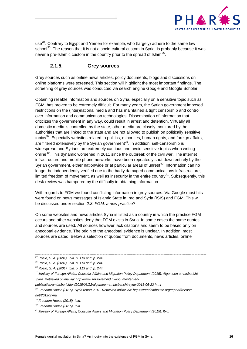

<span id="page-15-8"></span>use<sup>34</sup>. Contrary to Egypt and Yemen for example, who (largely) adhere to the same law school<sup>35</sup>. The reason that it is not a socio-cultural custom in Syria, is probably because it was never a pre-Islamic custom in the country prior to the spread of Islam $^{36}$  $^{36}$  $^{36}$ .

### **2.1.5. Grey sources**

<span id="page-15-0"></span>Grey sources such as online news articles, policy documents, blogs and discussions on online platforms were screened. This section will highlight the most important findings. The screening of grey sources was conducted via search engine Google and Google Scholar.

Obtaining reliable information and sources on Syria, especially on a sensitive topic such as FGM, has proven to be extremely difficult. For many years, the Syrian government imposed restrictions on the (inter)national media and has maintained a tight censorship and control over information and communication technologies. Dissemination of information that criticizes the government in any way, could result in arrest and detention. Virtually all domestic media is controlled by the state, other media are closely monitored by the authorities that are linked to the state and are not allowed to publish on politically sensitive topics<sup>37</sup>. Especially websites related to politics, minorities, human rights, and foreign affairs, are filtered extensively by the Syrian government<sup>[38](#page-15-5)</sup>. In addition, self-censorship is widespread and Syrians are extremely cautious and avoid sensitive topics when writing online<sup>39</sup>. This dynamic worsened in 2011 since the outbreak of the civil war. The internet infrastructure and mobile phone networks have been repeatedly shut down entirely by the Syrian government, either nationwide or at particular areas of unrest<sup>40</sup>. Information can no longer be independently verified due to the badly damaged communications infrastructure, limited freedom of movement, as well as insecurity in the entire country<sup>41</sup>. Subsequently, this desk review was hampered by the difficulty in obtaining information.

With regards to FGM we found conflicting information in grey sources. Via Google most hits were found on news messages of Islamic State in Iraq and Syria (ISIS) and FGM. This will be discussed under section *2.3: FGM: a new practice?*

On some websites and news articles Syria is listed as a country in which the practice FGM occurs and other websites deny that FGM exists in Syria. In some cases the same quotes and sources are used. All sources however lack citations and seem to be based only on anecdotal evidence. The origin of the anecdotal evidence is unclear. In addition, most sources are dated. Below a selection of quotes from documents, news articles, online

*publicaties/ambtsberichten/2015/06/22/algemeen-ambtsbericht-syrie-2015-06-22.html* 

<span id="page-15-2"></span><span id="page-15-1"></span>*<sup>34</sup> Roald, S. A. (2001). Ibid. p. 113 and p. 244.*

*<sup>35</sup> Roald, S. A. (2001). Ibid. p. 113 and p. 244.*

<span id="page-15-3"></span>*<sup>36</sup> Roald, S. A. (2001). Ibid. p. 113 and p. 244.*

<span id="page-15-4"></span>*<sup>37</sup> Ministry of Foreign Affairs, Consular Affairs and Migration Policy Department (2015). Algemeen ambtsbericht Syrië. Retrieved online via: http://www.rijksoverheid.nl/documenten-en-*

<span id="page-15-5"></span>*<sup>38</sup> Freedom House (2015). Syria report 2012. Retrieved online via: https://freedomhouse.org/report/freedomnet/2012/Syria*

<span id="page-15-6"></span>*<sup>39</sup> Freedom House (2015). Ibid.* 

<span id="page-15-7"></span>*<sup>40</sup> Freedom House (2015). Ibid.*

*<sup>41</sup> Ministry of Foreign Affairs, Consular Affairs and Migration Policy Department (2015). Ibid.*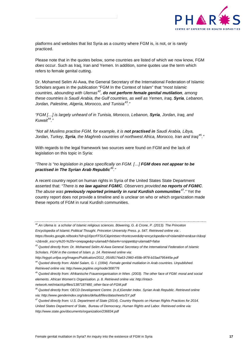

platforms and websites that list Syria as a country where FGM is, is not, or is rarely practiced.

Please note that in the quotes below, some countries are listed of which we now know, FGM *does* occur. Such as Iraq, Iran and Yemen. In addition, some quotes use the term which refers to female genital cutting.

Dr. Mohamed Selim Al-Awa, the General Secretary of the International Federation of Islamic Scholars argues in the publication "FGM In the Context of Islam" that *"most Islamic countries, abounding with Ulemas[42,](#page-16-0) do not perform female genital mutilation, among these countries is Saudi Arabia, the Gulf countries, as well as Yemen, Iraq, Syria, Lebanon, Jordan, Palestine, Algeria, Morocco, and Tunisia[43.](#page-16-1)"* 

*"FGM […] is largely unheard of in Tunisia, Morocco, Lebanon, Syria, Jordan, Iraq, and Kuwait*[44](#page-16-2)*."*

*"Not all Muslims practise FGM, for example, it is not practised in Saudi Arabia, Libya, Jordan, Turkey, Syria, the Maghreb countries of northwest Africa, Morocco, Iran and Iraq[45](#page-16-3)."* 

With regards to the legal framework two sources were found on FGM and the lack of legislation on this topic in Syria:

*"There is "no legislation in place specifically on FGM. […] FGM does not appear to be practised in The Syrian Arab Republic[46](#page-16-4)."* 

A recent country report on human rights in Syria of the United States State Department asserted that: *"There is no law against FGM/C. Observers provided no reports of FGM/C. The abuse was previously reported primarily in rural Kurdish communities[47.](#page-16-5)"* Yet the country report does not provide a timeline and is unclear on who or which organization made these reports of FGM in rural Kurdish communities.

*network.net/intact/cp/files/1387187480\_other-face-of-FGM.pdf*

<span id="page-16-0"></span>*<sup>42</sup> An Ulema is a scholar of Islamic religious sciences. Böwering, G. & Crone, P. (2013). The Princeton Encyclopedia of Islamic Political Thought. Princeton University Press. p. 547. Retrieved online via: .* 

*https://books.google.nl/books?id=q1I0pcrFFSUC&printsec=frontcover&dq=encyclopedia+of+islam&hl=en&sa=X&sqi =2&redir\_esc=y%20-%20v=onepage&q=ulama&f=false#v=snippet&q=ulama&f=false*

<span id="page-16-1"></span>*<sup>43</sup> Quoted directly from: Dr. Mohamed Selim Al-Awa General Secretary of the International Federation of Islamic Scholars. FGM in the context of Islam. p. 14. Retrieved online via:* 

*http://egypt.unfpa.org/Images/Publication/2012\_05/d9174a63-2960-459b-9f78-b33ad795445e.pdf* 

<span id="page-16-2"></span>*<sup>44</sup> Quoted directly from: Abdel Salam, G. I. (1994). Female genital mutilation in Arab countries. Unpublished. Retrieved online via: http://www.popline.org/node/308776*

<span id="page-16-3"></span>*<sup>45</sup> Quoted directly from: Afrikanische Frauenorganisation in Wien. (2003). The other face of FGM: moral and social elements. African Women's Organisation. p. 8. Retrieved online via: http://intact-*

<span id="page-16-4"></span>*<sup>46</sup> Quoted directly from: OECD Development Centre. (n.d.)Gender Index. Syrian Arab Republic. Retrieved online via: http://www.genderindex.org/sites/default/files/datasheets/SY.pdf*

<span id="page-16-5"></span>*<sup>47</sup> Quoted directly from: U.S. Department of State (2014). Country Reports on Human Rights Practices for 2014. United States Department of State, Bureau of Democracy, Human Rights and Labor. Retrieved online via: http://www.state.gov/documents/organization/236834.pdf*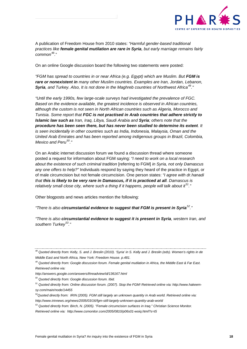

A publication of Freedom House from 2010 states: *"Harmful gender-based traditional practices like female genital mutilation are rare in Syria, but early marriage remains fairly common*[48](#page-17-0)*.*"

On an online Google discussion board the following two statements were posted:

*"FGM has spread to countries in or near Africa (e.g. Egypt) which are Muslim. But FGM is rare or nonexistent in many other Muslim countries. Examples are Iran, Jordan, Lebanon, Syria, and Turkey. Also, It is not done in the Maghreb countries of Northwest Africa[49.](#page-17-1)"*

*"Until the early 1990s, few large-scale surveys had investigated the prevalence of FGC. Based on the evidence available, the greatest incidence is observed in African countries, although the custom is not seen in North African countries such as Algeria, Morocco and Tunisia. Some report that FGC is not practised in Arab countries that adhere strictly to Islamic law such as Iran, Iraq, Libya, Saudi Arabia and Syria; others note that the procedure has been seen there, but has never been studied to determine its extent. It is seen incidentally in other countries such as India, Indonesia, Malaysia, Oman and the United Arab Emirates and has been reported among indigenous groups in Brazil, Colombia, Mexico and Peru[50.](#page-17-2)"*

On an Arabic internet discussion forum we found a discussion thread where someone posted a request for information about FGM saying: *"I need to work on a local research about the existence of such criminal tradition* [referring to FGM] *in Syria, not only Damascus any one offers to help?"* Individuals respond by saying they heard of the practice in Egypt, or of male circumcision but not female circumcision. One person states: *"I agree with dr.hanadi that this is likely to be very rare in Damascus, if it is practiced at all. Damascus is relatively small close city, where such a thing if it happens, people will talk about it[51.](#page-17-3)"* 

Other blogposts and news articles mention the following:

*"There is also circumstantial evidence to suggest that FGM is present in Syria[52.](#page-17-4)"*

*"There is also circumstantial evidence to suggest it is present in Syria, western Iran, and southern Turkey[53](#page-17-5)."*

<span id="page-17-0"></span>*<sup>48</sup> Quoted directly from: Kelly, S. and J. Breslin (2010). 'Syria' in S. Kelly and J. Breslin (eds). Women's rights in de Middle East and North Africa, New York: Freedom House. p.481.*

<span id="page-17-1"></span>*<sup>49</sup> Quoted directly from: Google discussion forum. Female genital mutilation in Africa, the Middle East & Far East. Retrieved online via:* 

*http://answers.google.com/answers/threadview/id/136167.html*

<span id="page-17-2"></span>*<sup>50</sup> Quoted directly from: Google discussion forum. Ibid.*

<span id="page-17-3"></span>*<sup>51</sup> Quoted directly from: Online discussion forum. (2007). Stop the FGM! Retrieved online via: http://www.hakeemsy.com/main/node/14455*

<span id="page-17-4"></span>*<sup>52</sup>Quoted directly from: IRIN (2005). FGM still largely an unknown quantity in Arab world. Retrieved online via: http://www.irinnews.org/news/2005/03/16/fgm-still-largely-unknown-quantity-arab-world*

<span id="page-17-5"></span>*<sup>53</sup> Quoted directly from: Birch, N. (2005). "Female circumcision surfaces in Iraq." Christian Science Monitor. Retrieved online via: http://www.csmonitor.com/2005/0810/p06s01-woiq.html?s=t5*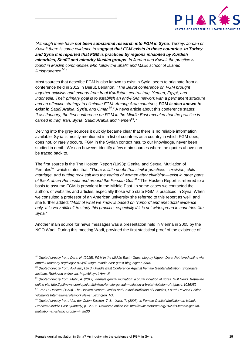

*"Although there have not been substantial research into FGM in Syria, Turkey, Jordan or Kuwait there is some evidence to suggest that FGM exists in these countries. In Turkey and Syria it is reported that FGM is practiced by regions inhabited by Kurdish minorities, Shafi'i and minority Muslim groups. In Jordan and Kuwait the practice is found in Muslim communities who follow the Shafi'i and Maliki school of Islamic Jurisprudence[54.](#page-18-0)"*

Most sources that describe FGM is also known to exist in Syria, seem to originate from a conference held in 2012 in Beirut, Lebanon. *"The Beirut conference on FGM brought together activists and experts from Iraqi Kurdistan, central Iraq, Yemen, Egypt, and Indonesia. Their primary goal is to establish an anti-FGM network with a permanent structure and an effective strategy to eliminate FGM. Among Arab countries, FGM is also known to exist in Saudi Arabia, Syria, and Oman[55.](#page-18-1)"* A news article about this conference states: *"Last January, the first conference on FGM in the Middle East revealed that the practice is carried in Iraq, Iran, Syria, Saudi Arabia and Yemen[56.](#page-18-2)"* 

Delving into the grey sources it quickly became clear that there is no reliable information available. Syria is mostly mentioned in a list of countries as a country in which FGM does, does not, or rarely occurs. FGM in the Syrian context has, to our knowledge, never been studied in depth. We can however identify a few main sources where the quotes above can be traced back to.

The first source is the The Hosken Report (1993): Genital and Sexual Mutilation of Females<sup>[57](#page-18-3)</sup>, which states that: *"There is little doubt that similar practices—excision, child marriage, and putting rock salt into the vagina of women after childbirth—exist in other parts of the Arabian Peninsula and around the Persian Gulf[58.](#page-18-4)"* The Hosken Report is referred to a basis to assume FGM is prevalent in the Middle East. In some cases we contacted the authors of websites and articles, especially those who state FGM is practiced in Syria. When we consulted a professor of an American university she referred to this report as well, and she further added: *"Most of what we know is based on "rumors" and anecdotal evidence only. It is very difficult to study this practice, especially if it is not widespread in countries like Syria."*

Another main source for news messages was a presentation held in Vienna in 2005 by the NGO Wadi. During this meeting Wadi, provided the first statistical proof of the existence of

<span id="page-18-0"></span>*<sup>54</sup> Quoted directly from: Dara, N. (2015). FGM in the Middle East - Guest blog by Nigeen Dara. Retrieved online via: http://28toomany.org/blog/2015/jul/23/fgm-middle-east-guest-blog-nigeen-dara/*

<span id="page-18-1"></span>*<sup>55</sup> Quoted directly from: Al-Alawi, I.(n.d.) Middle East Conference Against Female Genital Mutilation. Stonegate Institute. Retrieved online via: http://bit.ly/1LHmnUi*

<span id="page-18-2"></span>*<sup>56</sup> Quoted directly from: Malik, A. (2012). Female genital mutilation: a brutal violation of rights. Gulf News. Retrieved online via: http://gulfnews.com/opinion/thinkers/female-genital-mutilation-a-brutal-violation-of-rights-1.1036052*

<span id="page-18-3"></span>*<sup>57</sup> Fran P. Hosken. (1993). The Hosken Report: Genital and Sexual Mutilation of Females, Fourth Revised Edition. Women's International Network News: Lexington, MA.*

<span id="page-18-4"></span>*<sup>58</sup> Quoted directly from: Von der Osten-Sacken, T. & Uwer, T. (2007). Is Female Genital Mutilation an Islamic Problem? Middle East Quarterly, p. 29-36. Retrieved online via: http://www.meforum.org/1629/is-female-genitalmutilation-an-islamic-problem#\_ftn30*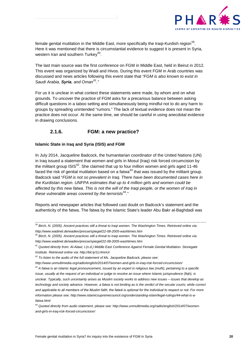

female genital mutilation in the Middle East, more specifically the Iraqi-Kurdish region<sup>[59](#page-19-1)</sup>. Here it was mentioned that there is circumstantial evidence to suggest it is present in Syria, western Iran and southern Turkev<sup>[60](#page-19-2)</sup>.

The last main source was the first conference on FGM in Middle East, held in Beirut in 2012. This event was organized by Wadi and Hivos. During this event FGM in Arab countries was discussed and news articles following this event state that *"FGM is also known to exist in Saudi Arabia, Syria, and Oman[61](#page-19-3)."* 

For us it is unclear in what context these statements were made, by whom and on what grounds. To uncover the practice of FGM asks for a precarious balance between asking difficult questions in a taboo setting and simultaneously being mindful not to do any harm to groups by spreading unintended "rumors." The lack of textual evidence does not mean the practice does not occur. At the same time, we should be careful in using anecdotal evidence in drawing conclusions.

## **2.1.6. FGM: a new practice?**

#### <span id="page-19-0"></span>**Islamic State in Iraq and Syria (ISIS) and FGM**

In July 2014, Jacqueline Badcock, the humanitarian coordinator of the United Nations (UN) in Iraq issued a statement that women and girls in Mosul (Iraq) risk forced circumcision by the militant group  $|S|S^{62}$  $|S|S^{62}$  $|S|S^{62}$ . She claimed that up to four million women and girls aged 11-46 faced the risk of genital mutilation based on a fatwa $63$  that was issued by the militant group. Badcock said "*FGM is not so prevalent in Iraq. There have been documented cases here in the Kurdistan region. UNFPA estimates that up to 4 million girls and women could be affected by this new fatwa. This is not the will of the Iraqi people, or the women of Iraq in these vulnerable areas covered by the terrorists*[64](#page-19-6)*.*"

Reports and newspaper articles that followed cast doubt on Badcock's statement and the authenticity of the fatwa. The fatwa by the Islamic State's leader Abu Bakr al-Baghdadi was

<span id="page-19-1"></span>*<sup>59</sup> Birch, N. (2005). Ancient practices still a threat to Iraqi women. The Washington Times. Retrieved online via: http://www.wadinet.de/wadiev/presse/spiegel/22-08-2005-washtimes.htm*

<span id="page-19-2"></span>*<sup>60</sup> Birch, N. (2005). Ancient practices still a threat to Iraqi women. The Washington Times. Retrieved online via: http://www.wadinet.de/wadiev/presse/spiegel/22-08-2005-washtimes.htm*

<span id="page-19-3"></span>*<sup>61</sup> Quoted directly from: Al-Alawi, I.(n.d.) Middle East Conference Against Female Genital Mutilation. Stonegate Institute. Retrieved online via: http://bit.ly/1LHmnUi*

<span id="page-19-4"></span>*<sup>62</sup> To listen to the audio of the full statement of Ms. Jacqueline Badcock, please see:* 

*http://www.unmultimedia.org/radio/english/2014/07/women-and-girls-in-iraq-risk-forced-circumcision/*

<span id="page-19-5"></span>*<sup>63</sup> A fatwa is an Islamic legal pronouncement, issued by an expert in religious law (mufti), pertaining to a specific issue, usually at the request of an individual or judge to resolve an issue where Islamic jurisprudence (fiqh), is unclear. Typically, such uncertainty arises as Muslim society works to address new issues – issues that develop as*  technology and society advance. However, a fatwa is not binding as is the verdict of the secular courts; while correct *and applicable to all members of the Muslim faith, the fatwā is optional for the individual to respect or not. For more information please see: http://www.islamicsupremecouncil.org/understanding-islam/legal-rulings/44-what-is-afatwa.html*

<span id="page-19-6"></span>*<sup>64</sup> Quoted directly from audio statement, please see: http://www.unmultimedia.org/radio/english/2014/07/womenand-girls-in-iraq-risk-forced-circumcision/*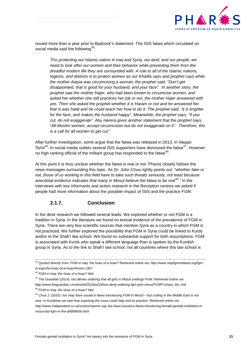

issued more than a year prior to Badcock's statement. The ISIS fatwa which circulated on social media said the following  $65$ :

*"For protecting our Islamic nation in Iraq and Syria, our land, and our people, we need to look after our women and their behavior while preventing them from the dreadful modern life they are surrounded with. A rule to all of the Islamic nations, regions, and districts is to protect women as our Khalifa says and prophet says while the mother Aatyia was circumcising a woman, the prophet said, "Don't get disappointed, that is good for your husband, and your face". In another story, the prophet saw the mother Hajer, who had been known to circumcise women, and asked her whether she still practices her job or not, the mother Hajer answered with yes. Then she asked the prophet whether it is Haram or not and he answered her that is was halal and he could teach her how to do it. The prophet said, "it is brighter for the face, and makes the husband happy". Meanwhile, the prophet says, "if you cut, do not exaggerate". Abu Harera gives another statement that the prophet says, "All Muslim women, accept circumcision but do not exaggerate on it". Therefore, this is a call for all women to get cut."*

After further investigation, some argue that the fatwa was released in 2013, in Aleppo Syria<sup>66</sup>. In social media outlets several ISIS supporters have dismissed the fatwa<sup>67</sup>. However no high ranking official of the militant group has responded to the fatwa $^{68}$  $^{68}$  $^{68}$ .

At this point it is thus unclear whether the fatwa is real or not. Pharos closely follows the news messages surrounding this topic. As Dr. John Chua rightly points out: *"whether fake or not, those of us working in this field have to take such threats seriously, not least because anecdotal evidence indicates that many in Mosul believe the fatwa to be real[69](#page-20-5)."* In the interviews with key informants and action research in the Reception centres we asked if people had more information about the possible impact of ISIS and the practice FGM.

## **2.1.7. Conclusion**

<span id="page-20-0"></span>In the desk research we followed several leads. We explored whether or not FGM is a tradition in Syria. In the literature we found no textual evidence of the prevalence of FGM in Syria. There are very few scientific sources that mention Syria as a country in which FGM is not practiced. We further explored the possibility that FGM in Syria could be linked to Kurds and/or to the Shafi'i law school. We found no substantial support for both assumptions. FGM is associated with Kurds who speak a different language than is spoken by the Kurdish group in Syria. As to the link to Shafi'í law school, not all countries where this law school is

<span id="page-20-1"></span>*<sup>65</sup> Quoted directly from: FGM in Iraq: the hoax of a hoax? Retrieved online via: http://www.stopfgmmideast.org/fgmin-iraq-the-hoax-of-a-hoax/#more-1307*

<span id="page-20-2"></span>*<sup>66</sup> FGM in Iraq: the hoax of a hoax? Ibid.* 

<span id="page-20-3"></span>*<sup>67</sup> The Guardian (2014). Isis denies ordering that all girls in Mosul undergo FGM. Retrieved online via:* 

<span id="page-20-4"></span>*http://www.theguardian.com/world/2014/jul/24/isis-deny-ordering-fgm-girls-mosul?CMP=share\_btn\_link <sup>68</sup> FGM in Iraq: the hoax of a hoax? Ibid.*

<span id="page-20-5"></span>*<sup>69</sup> Chua J. (2015). Isis may have issued a fatwa introducing FGM in Mosul – but cutting in the Middle East is not new. In Kurdistan we saw how exposing the issue could help end its practice. Retrieved online via:* 

*http://www.independent.co.uk/voices/reports-say-isis-have-issued-a-fatwa-introducing-female-genital-mutilation-inmosul-but-fgm-in-the-a6689836.html*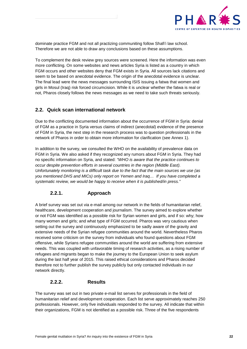

dominate practice FGM and not all practizing communiting follow Shafi'i law school. Therefore we are not able to draw any conclusions based on these assumptions.

To complement the desk review grey sources were screened. Here the information was even more conflicting. On some websites and news articles Syria is listed as a country in which FGM occurs and other websites deny that FGM exists in Syria. All sources lack citations and seem to be based on anecdotal evidence. The origin of the anecdotal evidence is unclear. The final lead were the news messages surrounding ISIS issuing a fatwa that women and girls in Mosul (Iraq) risk forced circumcision. While it is unclear whether the fatwa is real or not, Pharos closely follows the news messages as we need to take such threats seriously.

## <span id="page-21-0"></span>**2.2. Quick scan international network**

Due to the conflicting documented information about the occurrence of FGM in Syria: denial of FGM as a practice in Syria versus claims of indirect (anecdotal) evidence of the presence of FGM in Syria, the next step in the research process was to question professionals in the network of Pharos in order to obtain more information for clarification (see Annex 1).

In addition to the survey, we consulted the WHO on the availability of prevalence data on FGM in Syria. We also asked if they recognized any rumors about FGM in Syria. They had no specific information on Syria, and stated: *"WHO is aware that the practice continues to occur despite prevention efforts in several countries in the region (Middle East). Unfortunately monitoring is a difficult task due to the fact that the main sources we use (as you mentioned DHS and MICs) only report on Yemen and Iraq… If you have completed a systematic review, we would be happy to receive when it is published/in press."*

## **2.2.1. Approach**

<span id="page-21-1"></span>A brief survey was set out via e-mail among our network in the fields of humanitarian relief, healthcare, development cooperation and journalism. The survey aimed to explore whether or not FGM was identified as a possible risk for Syrian women and girls, and if so: why; how many women and girls; and what type of FGM occurred. Pharos was very cautious when setting out the survey and continuously emphasized to be sadly aware of the gravity and extensive needs of the Syrian refugee communities around the world. Nevertheless Pharos received some criticism on the survey from individuals who found questions about FGM offensive, while Syrians refugee communities around the world are suffering from extensive needs. This was coupled with unfavorable timing of research activities, as a rising number of refugees and migrants began to make the journey to the European Union to seek asylum during the last half year of 2015. This raised ethical considerations and Pharos decided therefore not to further publish the survey publicly but only contacted individuals in our network directly.

### **2.2.2. Results**

<span id="page-21-2"></span>The survey was set out in two private e-mail list serves for professionals in the field of humanitarian relief and development cooperation. Each list serve approximately reaches 250 professionals. However, only five individuals responded to the survey. All indicate that within their organizations, FGM is not identified as a possible risk. Three of the five respondents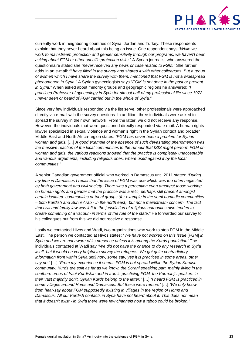

currently work in neighboring countries of Syria: Jordan and Turkey. These respondents explain that they never heard about this being an issue. One respondent says *"While we work to mainstream protection and gender sensitivity through our programs, we haven't been asking about FGM or other specific protection risks."* A Syrian journalist who answered the questionnaire stated she *"never received any news or case related to FGM."* She further adds in an e-mail: *"I have filled in the survey and shared it with other colleagues. But a group of women which I have share the survey with them, mentioned that FGM is not a widespread phenomenon in Syria."* A Syrian gynecologists says *"FGM is not done in the past or present in Syria."* When asked about minority groups and geographic regions he answered: *"I practiced Professor of gynecology in Syria for almost half of my professional life since 1972. I never seen or heard of FGM carried out in the whole of Syria."*

Since very few individuals responded via the list serve, other professionals were approached directly via e-mail with the survey questions. In addition, three individuals were asked to spread the survey in their own network. From the latter, we did not receive any response. However, the individuals that were questioned directly responded via e-mail. A human rights lawyer specialized in sexual violence and women's right in the Syrian context and broader Middle East and North Africa-region states: *"FGM has never been a problem for Syrian women and girls.* […] *A good example of the absence of such devastating phenomenon was the massive reaction of the local communities to the rumour that ISIS might perform FGM on women and girls, the various reactions showed that the practice is completely unacceptable and various arguments, including religious ones, where used against it by the local communities."* 

A senior Canadian government official who worked in Damascus until 2011 states: *"During my time in Damascus I recall that the issue of FGM was one which was too often neglected by both government and civil society. There was a perception even amongst those working on human rights and gender that the practice was a relic, perhaps still present amongst certain isolated communities or tribal groups (for example in the semi nomadic communities – both Kurdish and Sunni Arab - in the north east), but not a mainstream concern. The fact that civil and family law was left to the jurisdiction of religious authorities also tended to create something of a vacuum in terms of the role of the state."* He forwarded our survey to his colleagues but from this we did not receive a response.

Lastly we contacted Hivos and Wadi, two organizations who work to stop FGM in the Middle East. The person we contacted at Hivos states: "*We have not worked on this issue* [FGM] *in Syria and we are not aware of its presence unless it is among the Kurds population* The individuals contacted at Wadi say *"We did not have the chance to do any research in Syria itself, but it would be very helpful to survey the refugees. We got quite contradictory information from within Syria until now, some say, yes it is practiced in some areas, other say no."* […] "*From my experience it seems FGM is not spread within the Syrian Kurdish community. Kurds are split as far as we know, the Sorani speaking part, mainly living in the southern areas of Iraqi-Kurdistan and in Iran is practicing FGM, the Kurmanji speakers in their vast majority don't. Syrian Kurds belong to the latter."* […] "*I heard FGM is practiced in some villages around Homs and Damascus. But these were rumors"* […] *"We only know from hear-say about FGM supposedly existing in villages in the region of Homs and Damascus. All our Kurdish contacts in Syria have not heard about it. This does not mean that it doesn't exist - in Syria there were few channels how a taboo could be broken."*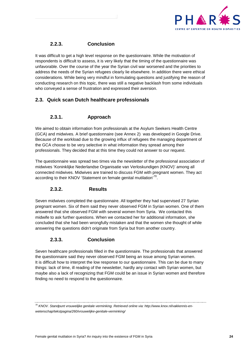

## **2.2.3. Conclusion**

<span id="page-23-0"></span>It was difficult to get a high level response on the questionnaire. While the motivation of respondents is difficult to assess, it is very likely that the timing of the questionnaire was unfavorable. Over the course of the year the Syrian civil war worsened and the priorities to address the needs of the Syrian refugees clearly lie elsewhere. In addition there were ethical considerations. While being very mindful in formulating questions and justifying the reason of conducting research on this topic, there was still a negative backlash from some individuals who conveyed a sense of frustration and expressed their aversion.

## <span id="page-23-1"></span>**2.3. Quick scan Dutch healthcare professionals**

## **2.3.1. Approach**

<span id="page-23-2"></span>We aimed to obtain information from professionals at the Asylum Seekers Health Centre (GCA) and midwives. A brief questionnaire (see Annex 2) was developed in Google Drive. Because of the workload due to the growing influx of refugees the managing department of the GCA choose to be very selective in what information they spread among their professionals. They decided that at this time they could not answer to our request.

The questionnaire was spread two times via the newsletter of the professional association of midwives 'Koninklijke Nederlandse Organisatie van Verloskundigen (KNOV)' among all connected midwives. Midwives are trained to discuss FGM with pregnant women. They act according to their KNOV 'Statement on female genital mutilation'<sup>70</sup>.

### <span id="page-23-3"></span>**2.3.2. Results**

Seven midwives completed the questionnaire. All together they had supervised 27 Syrian pregnant women. Six of them said they never observed FGM in Syrian women. One of them answered that she observed FGM with several women from Syria. We contacted this midwife to ask further questions. When we contacted her for additional information, she concluded that she had been wrongfully mistaken and that the women she thought of while answering the questions didn't originate from Syria but from another country.

### **2.3.3. Conclusion**

<span id="page-23-4"></span>Seven healthcare professionals filled in the questionnaire. The professionals that answered the questionnaire said they never observed FGM being an issue among Syrian women. It is difficult how to interpret the low response to our questionnaire. This can be due to many things: lack of time, ill reading of the newsletter, hardly any contact with Syrian women, but maybe also a lack of recognizing that FGM could be an issue in Syrian women and therefore finding no need to respond to the questionnaire.

<span id="page-23-5"></span>*<sup>70</sup> KNOV. Standpunt vrouwelijke genitale verminking. Retrieved online via: http://www.knov.nl/vakkennis-enwetenschap/tekstpagina/260/vrouwelijke-genitale-verminking/*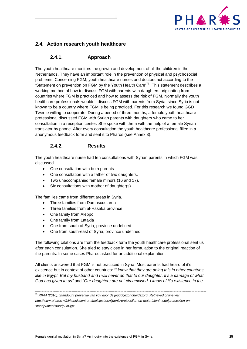

## <span id="page-24-0"></span>**2.4. Action research youth healthcare**

## **2.4.1. Approach**

<span id="page-24-1"></span>The youth healthcare monitors the growth and development of all the children in the Netherlands. They have an important role in the prevention of physical and psychosocial problems. Concerning FGM, youth healthcare nurses and doctors act according to the 'Statement on prevention on FGM by the Youth Health Care'<sup>[71](#page-24-3)</sup>. This statement describes a working method of how to discuss FGM with parents with daughters originating from countries where FGM is practiced and how to assess the risk of FGM. Normally the youth healthcare professionals wouldn't discuss FGM with parents from Syria, since Syria is not known to be a country where FGM is being practiced. For this research we found GGD Twente willing to cooperate. During a period of three months, a female youth healthcare professional discussed FGM with Syrian parents with daughters who came to her consultation in a reception center. She spoke with them with the help of a female Syrian translator by phone. After every consultation the youth healthcare professional filled in a anonymous feedback form and sent it to Pharos (see Annex 3).

## **2.4.2. Results**

<span id="page-24-2"></span>The youth healthcare nurse had ten consultations with Syrian parents in which FGM was discussed.

- One consultation with both parents.
- One consultation with a father of two daughters.
- Two unaccompanied female minors (16 and 17).
- Six consultations with mother of daughter(s).

The families came from different areas in Syria.

- Three families from Damascus area
- Three families from al-Hasaka province
- One family from Aleppo
- One family from Latakia
- One from south of Syria, province undefined
- One from south-east of Syria, province undefined

The following citations are from the feedback form the youth healthcare professional sent us after each consultation. She tried to stay close in her formulation to the original reaction of the parents. In some cases Pharos asked for an additional explanation.

All clients answered that FGM is not practiced in Syria. Most parents had heard of it's existence but in context of other countries: *"I know that they are doing this in other countries,*  like in Egypt. But my husband and I will never do that to our daughter. It's a damage of what *God has given to us"* and *"Our daughters are not circumcised. I know of it's existence in the* 

<span id="page-24-3"></span>*<sup>71</sup> RIVM (2010). Standpunt preventie van vgv door de jeugdgezondheidszorg. Retrieved online via: http://www.pharos.nl/nl/kenniscentrum/meisjesbesnijdenis/protocollen-en-materialen/modelprotocollen-enstandpunten/standpunt-jgz*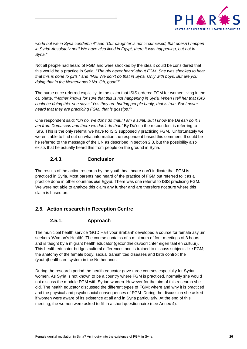

*world but we in Syria condemn it"* and *"Our daughter is not circumcised, that doesn't happen*  in Syria! Absolutely not!! We have also lived in Egypt, there it was happening, but not in *Syria."* 

Not all people had heard of FGM and were shocked by the idea it could be considered that this would be a practice in Syria. *"The girl never heard about FGM. She was shocked to hear that this is done to girls."* and *"No!! We don't do that in Syria. Only with boys. But are you doing that in the Netherlands? No. Oh, good!!"*

The nurse once referred explicitly to the claim that ISIS ordered FGM for women living in the caliphate. *"Mother knows for sure that this is not happening in Syria. When I tell her that ISIS could be doing this, she says: "Yes they are hurting people badly, that is true. But I never heard that they are practicing FGM: that is gossips.""*

One respondent said: *"Oh no, we don't do that!! I am a sunit. But I know the Da'esh do it. I am from Damascus and there we don't do that."* By Da'esh the respondent is referring to ISIS. This is the only referral we have to ISIS supposedly practicing FGM. Unfortunately we weren't able to find out on what information the respondent based this comment. It could be he referred to the message of the UN as described in section 2.3, but the possibility also exists that he actually heard this from people on the ground in Syria.

## **2.4.3. Conclusion**

<span id="page-25-0"></span>The results of the action research by the youth healthcare don't indicate that FGM is practiced in Syria. Most parents had heard of the practice of FGM but referred to it as a practice done in other countries *like Egypt*. There was one referral to ISIS practicing FGM. We were not able to analyze this claim any further and are therefore not sure where this claim is based on.

## <span id="page-25-2"></span><span id="page-25-1"></span>**2.5. Action research in Reception Centre**

## **2.5.1. Approach**

The municipal health service 'GGD Hart voor Brabant' developed a course for female asylum seekers 'Woman's Health'. The course contains of a minimum of four meetings of 3 hours and is taught by a migrant health educator (gezondheidsvoorlichter eigen taal en cultuur). This health educator bridges cultural differences and is trained to discuss subjects like FGM; the anatomy of the female body; sexual transmitted diseases and birth control; the (youth)healthcare system in the Netherlands.

During the research period the health educator gave three courses especially for Syrian women. As Syria is not known to be a country where FGM is practiced, normally she would not discuss the module FGM with Syrian women. However for the aim of this research she did. The health educator discussed the different types of FGM; where and why it is practiced and the physical and psychosocial consequences of FGM. During the discussion she asked if women were aware of its existence at all and in Syria particularly. At the end of this meeting, the women were asked to fill in a short questionnaire (see Annex 4).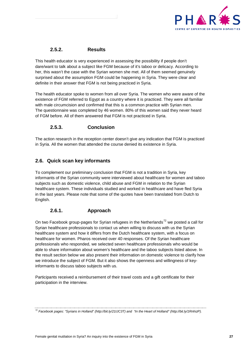

## **2.5.2. Results**

<span id="page-26-0"></span>This health educator is very experienced in assessing the possibility if people don't dare/want to talk about a subject like FGM because of it's taboo or delicacy. According to her, this wasn't the case with the Syrian women she met. All of them seemed genuinely surprised about the assumption FGM could be happening in Syria. They were clear and definite in their answer that FGM is not being practiced in Syria.

The health educator spoke to women from all over Syria. The women who were aware of the existence of FGM referred to Egypt as a country where it is practiced. They were all familiar with male circumcision and confirmed that this is a common practice with Syrian men. The questionnaire was completed by 46 women. 80% of this women said they never heard of FGM before. All of them answered that FGM is not practiced in Syria.

## **2.5.3. Conclusion**

<span id="page-26-1"></span>The action research in the reception center doesn't give any indication that FGM is practiced in Syria. All the women that attended the course denied its existence in Syria.

## <span id="page-26-2"></span>**2.6. Quick scan key informants**

To complement our preliminary conclusion that FGM is not a tradition in Syria, key informants of the Syrian community were interviewed about healthcare for women and taboo subjects such as domestic violence, child abuse and FGM in relation to the Syrian healthcare system. These individuals studied and worked in healthcare and have fled Syria in the last years. Please note that some of the quotes have been translated from Dutch to English.

## **2.6.1. Approach**

<span id="page-26-3"></span>On two Facebook group-pages for Syrian refugees in the Netherlands<sup>[72](#page-26-4)</sup> we posted a call for Syrian healthcare professionals to contact us when willing to discuss with us the Syrian healthcare system and how it differs from the Dutch healthcare system, with a focus on healthcare for women. Pharos received over 40 responses. Of the Syrian healthcare professionals who responded, we selected seven healthcare professionals who would be able to share information about women's healthcare and the taboo subjects listed above. In the result section below we also present their information on domestic violence to clarify how we introduce the subject of FGM. But it also shows the openness and willingness of keyinformants to discuss taboo subjects with us.

Participants received a reimbursement of their travel costs and a gift certificate for their participation in the interview.

<span id="page-26-4"></span>*<sup>72</sup> Facebook pages: "Syrians in Holland" (http://bit.ly/21IJC3T) and "In the Heart of Holland" (http://bit.ly/1RnhizP).*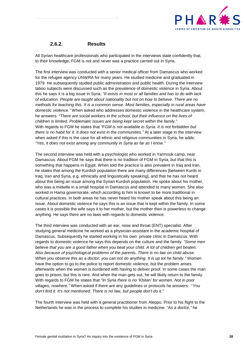

### **2.6.2. Results**

<span id="page-27-0"></span>All Syrian healthcare professionals who participated in the interviews state confidently that, to their knowledge, FGM is not and never was a practice carried out in Syria.

The first interview was conducted with a senior medical officer from Damascus who worked for the refugee agency UNWRA for many years. He studied medicine and graduated in 1979. He subsequently studied public administration and public health. During the interview taboo subjects were discussed such as the prevalence of domestic violence in Syria. About this he says it is a big issue in Syria. *"It exists in most or all families and has to do with lack of education. People are taught about nationality but not on how to behave. There are no methods for teaching this. It is a common sense. Most families, especially in rural areas have domestic violence."* When asked who addresses domestic violence in the healthcare system, he answers: *"There are social workers in the school, but their influence on the lives of children is limited. Problematic issues are being kept secret within the family."* With regards to FGM he states that *"FGM is not available in Syria. It is not forbidden but there is no habit for it. It does not exist in the communities."* At a later stage in the interview when asked if this is the case for all ethnic and religious communities in Syria, he adds: *"Yes, it does not exist among any community in Syria as far as I know."*

The second interview was held with a psychologist who worked in Yarmouk camp, near Damascus. About FGM he says that there is no tradition of FGM in Syria, but that this is something that happens in Egypt. When told the practice is also prevalent in Iraq and Iran, he states that among the Kurdish population there are many differences [between Kurds in Iraq, Iran and Syria, e.g. ethnically and linguistically speaking], and that he has not heard about this being an issue among the Syrian Kurdish population. He spoke about his mother, who was a midwife in a small hospital in Damascus and attended to many women. She also worked in Hama governorate, which according to him is known to be more traditional in cultural practices. In both areas he has never heard his mother speak about this being an issue. About domestic violence he says this is an issue that is kept within the family. In some cases it is possible the wife says it to her mother, but the mother then is powerless to change anything. He says there are no laws with regards to domestic violence.

The third interview was conducted with an ear, nose and throat (ENT) specialist. After studying general medicine he worked as a physician-assistant in the academic hospital of Damascus. Subsequently he started working in his own private clinic in Damascus. With regards to domestic violence he says this depends on the culture and the family. *"Some men believe that you are a good father when you beat your child. A lot of children get beaten. Also because of psychological problems of the parents. There is no law on child abuse. When you observe this as a doctor, you can not do anything. It is up tot he family."* Women have the option to go to the police to report domestic violence, but the problem arises afterwards when the women is burdened with having to deliver proof. In some cases the man goes to prison, but this is rare. And when the man gets out, he will likely return to the family. With regards to FGM he states that *"In Syria there is no 'Khitan' for women. Not in poor villages, nowhere."* When asked if there are any guidelines or protocols he answers: "*You don't find it. It's not mentioned. There is no law, but people don't do it."*

The fourth interview was held with a general practitioner from Aleppo. Prior to his flight to the Netherlands he was in the process to complete his studies in medicine*. "As a doctor,"* he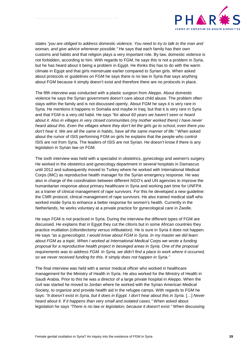

states *"you are obliged to address domestic violence. You need to try to talk to the man and woman, and give advice whenever possible."* He says that each family has their own customs and habits and that religion plays a very important role. By law, domestic violence is not forbidden, according to him. With regards to FGM, he says this is not a problem in Syria, but he has heard about it being a problem in Egypt. He thinks this has to do with the warm climate in Egypt and that girls menstruate earlier compared to Syrian girls. When asked about protocols or guidelines on FGM he says there is no law in Syria that says anything about FGM because it simply doesn't exist and therefore there are no protocols in place.

The fifth interview was conducted with a plastic surgeon from Aleppo. About domestic violence he says the Syrian government doesn't care about child abuse. The problem often stays within the family and is not discussed openly. About FGM he says it is very rare in Syria. He mentions it happens in Somalia and maybe in Iraq, but that it is very rare in Syria and that FGM is a very old habit. He says *"for about 60 years we haven't seen or heard about it. Also in villages in very closed communities (my mother worked there) I have never heard about this. Even the villages where they don't let the girls go to school, even there you don't hear it. We are all the same in habits, have all the same manner of life."* When asked about the rumor of ISIS performing FGM on girls he explains that the people who control ISIS are not from Syria. The leaders of ISIS are not Syrian. He doesn't know if there is any legislation in Syrian law on FGM.

The sixth interview was held with a specialist in obstetrics, gynecology and women's surgery. He worked in the obstetrics and gynecology department in several hospitals in Damascus until 2012 and subsequently moved to Turkey where he worked with International Medical Corps (IMC) as reproductive health manager for the Syrian emergency response. He was also in charge of the coordination between different NGO's and UN agencies to improve the humanitarian response about primary healthcare in Syria and working part time for UNFPA as a trainer of clinical management of rape survivors. For this he developed a new guideline: the CMR protocol, clinical management of rape survivors. He also trained medical staff who worked inside Syria to enhance a better response for women's health. Currently in the Netherlands, he works voluntary at a private practice for gynecological care in Zwolle.

He says FGM is not practiced in Syria. During the interview the different types of FGM are discussed. He explains that in Egypt they cut the clitoris but in some African countries they practice mutilation *(clitoridectomy versus infibulation).* He is sure in Syria it does not happen. He says *"as a gynecologist, I would know about FGM in Syria. In my master we did learn about FGM as a topic. When I worked at International Medical Corps we wrote a funding proposal for a reproductive health project in besieged areas in Syria. One of the proposal requirements was to address FGM. In Syria, we didn't find a place to work where it occurred, so we never received funding for this. It simply does not happen in Syria."*

The final interview was held with a senior medical officer who worked in healthcare management for the Ministry of Health in Syria. He also worked for the Ministry of Health in Saudi Arabia. Prior to this he was a director of a large private hospital in Aleppo. When the civil war started he moved to Jordan where he worked with the Syrian American Medical Society, to organize and provide health aid in the refugee camps. With regards to FGM he says: *"It doesn't exist in Syria, but it does in Egypt. I don't hear about this in Syria.* […] *Never heard about it. If it happens than very small and isolated cases."* When asked about legislation he says *"There is no law or legislation, because it doesn't exist."* When discussing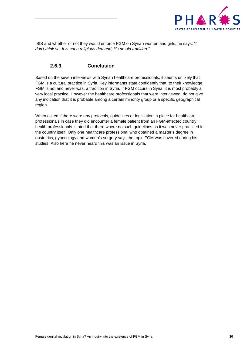

ISIS and whether or not they would enforce FGM on Syrian women and girls, he says: *"I don't think so. It is not a religious demand, it's an old tradition."*

## **2.6.3. Conclusion**

<span id="page-29-0"></span>Based on the seven interviews with Syrian healthcare professionals, it seems unlikely that FGM is a cultural practice in Syria. Key informants state confidently that, to their knowledge, FGM is not and never was, a tradition in Syria. If FGM occurs in Syria, it is most probably a very local practice. However the healthcare professionals that were interviewed, do not give any indication that it is probable among a certain minority group or a specific geographical region.

When asked if there were any protocols, guidelines or legislation in place for healthcare professionals in case they did encounter a female patient from an FGM-affected country, health professionals stated that there where no such guidelines as it was never practiced in the country itself. Only one healthcare professional who obtained a master's degree in obstetrics, gynecology and women's surgery says the topic FGM was covered during his studies. Also here he never heard this was an issue in Syria.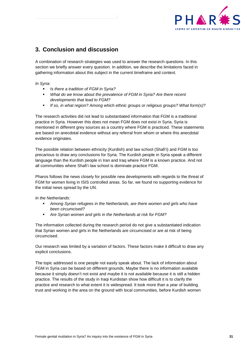

## <span id="page-30-0"></span>**3. Conclusion and discussion**

A combination of research strategies was used to answer the research questions. In this section we briefly answer every question. In addition, we describe the limitations faced in gathering information about this subject in the current timeframe and context.

*In Syria:*

- *Is there a tradition of FGM in Syria?*
- *What do we know about the prevalence of FGM in Syria? Are there recent developments that lead to FGM?*
- *If so, in what region? Among which ethnic groups or religious groups? What form(s)?*

The research activities did not lead to substantiated information that FGM is a traditional practice in Syria. However this does not mean FGM does not exist in Syria. Syria is mentioned in different grey sources as a country where FGM is practiced. These statements are based on anecdotal evidence without any referral from whom or where this anecdotal evidence originates.

The possible relation between ethnicity (Kurdish) and law school (Shafi'i) and FGM is too precarious to draw any conclusions for Syria. The Kurdish people in Syria speak a different language than the Kurdish people in Iran and Iraq where FGM is a known practice. And not all communities where Shafi'i law school is dominate practice FGM.

Pharos follows the news closely for possible new developments with regards to the threat of FGM for women living in ISIS controlled areas. So far, we found no supporting evidence for the initial news spread by the UN.

*In the Netherlands:*

- *Among Syrian refugees in the Netherlands, are there women and girls who have been circumcised?*
- *Are Syrian women and girls in the Netherlands at risk for FGM?*

The information collected during the research period do not give a substantiated indication that Syrian women and girls in the Netherlands are circumcised or are at risk of being circumcised.

Our research was limited by a variation of factors. These factors make it difficult to draw any explicit conclusions.

The topic addressed is one people not easily speak about. The lack of information about FGM in Syria can be based on different grounds. Maybe there is no information available because it simply doesn't not exist and maybe it is not available because it is still a hidden practice. The results of the study in Iraqi Kurdistan show how difficult it is to clarify the practice and research to what extent it is widespread. It took more than a year of building trust and working in the area on the ground with local communities, before Kurdish women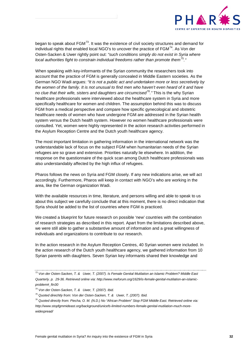

began to speak about  $FGM^{73}$ . It was the existence of civil society structures and demand for individual rights that enabled local NGO's to uncover the practice of  $FGM<sup>74</sup>$ . As Von der Osten-Sacken & Uwer rightly point out: *"such conditions simply do not exist in Syria where local authorities fight to constrain individual freedoms rather than promote them*[75](#page-31-2)*."*

When speaking with key-informants of the Syrian community the researchers took into account that the practice of FGM is generally concealed in Middle Eastern societies. As the German NGO Wadi argues: *"It is not a public act and undertaken more or less secretively by the women of the family. It is not unusual to find men who haven't even heard of it and have no clue that their wife, sisters and daughters are circumcised[76](#page-31-3)."* This is the why Syrian healthcare professionals were interviewed about the healthcare system in Syria and more specifically healthcare for women and children. The assumption behind this was to discuss FGM from a medical perspective and compare how specific gynecological and obstetric healthcare needs of women who have undergone FGM are addressed in the Syrian health system versus the Dutch health system. However no women healthcare professionals were consulted. Yet, women were highly represented in the action research activities performed in the Asylum Reception Centre and the Dutch youth healthcare agency.

The most important limitation in gathering information in the international network was the understandable lack of focus on the subject FGM when humanitarian needs of the Syrian refugees are so grave and extensive. Priorities naturally lie elsewhere. In addition, the response on the questionnaire of the quick scan among Dutch healthcare professionals was also understandably affected by the high influx of refugees.

Pharos follows the news on Syria and FGM closely. If any new indications arise, we will act accordingly. Furthermore, Pharos will keep in contact with NGO's who are working in the area, like the German organization Wadi.

With the available resources in time, literature, and persons willing and able to speak to us about this subject we carefully conclude that at this moment, there is no direct indication that Syria should be added to the list of countries where FGM is practiced.

We created a blueprint for future research on possible 'new' countries with the combination of research strategies as described in this report. Apart from the limitations described above, we were still able to gather a substantive amount of information and a great willingness of individuals and organizations to contribute to our research.

In the action research in the Asylum Reception Centres, 40 Syrian women were included. In the action research of the Dutch youth healthcare agency, we gathered information from 10 Syrian parents with daughters. Seven Syrian key informants shared their knowledge and

<span id="page-31-0"></span>*<sup>73</sup> Von der Osten-Sacken, T. & Uwer, T. (2007). Is Female Genital Mutilation an Islamic Problem? Middle East Quarterly. p. 29-36. Retrieved online via: http://www.meforum.org/1629/is-female-genital-mutilation-an-islamicproblem#\_ftn30*

<span id="page-31-1"></span>*<sup>74</sup> Von der Osten-Sacken, T. & Uwer, T. (2007). Ibid.*

<span id="page-31-2"></span>*<sup>75</sup> Quoted direchtly from: Von der Osten-Sacken, T. & Uwer, T. (2007). Ibid.*

<span id="page-31-3"></span>*<sup>76</sup> Quoted directly from: Piecha, O. M. (N.D.) No "African Problem" Stop FGM Middle East. Retrieved online via: http://www.stopfgmmideast.org/background/unicefs-limited-numbers-female-genital-mutilation-much-morewidespread/*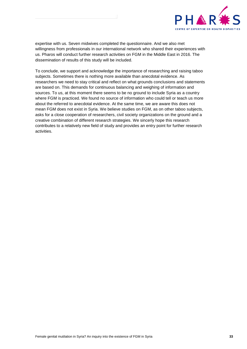

expertise with us. Seven midwives completed the questionnaire. And we also met willingness from professionals in our international network who shared their experiences with us. Pharos will conduct further research activities on FGM in the Middle East in 2016. The dissemination of results of this study will be included.

To conclude, we support and acknowledge the importance of researching and raising taboo subjects. Sometimes there is nothing more available than anecdotal evidence. As researchers we need to stay critical and reflect on what grounds conclusions and statements are based on. This demands for continuous balancing and weighing of information and sources. To us, at this moment there seems to be no ground to include Syria as a country where FGM is practiced. We found no source of information who could tell or teach us more about the referred to anecdotal evidence. At the same time, we are aware this does not mean FGM does not exist in Syria. We believe studies on FGM, as on other taboo subjects, asks for a close cooperation of researchers, civil society organizations on the ground and a creative combination of different research strategies. We sincerly hope this research contributes to a relatively new field of study and provides an entry point for further research activities.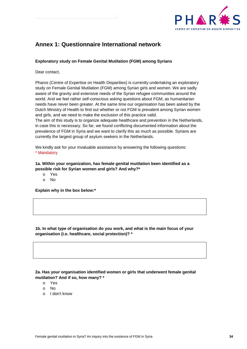

## <span id="page-33-0"></span>**Annex 1: Questionnaire International network**

#### **Exploratory study on Female Genital Mutilation (FGM) among Syrians**

Dear contact,

Pharos (Centre of Expertise on Health Disparities) is currently undertaking an exploratory study on Female Genital Mutilation (FGM) among Syrian girls and women. We are sadly aware of the gravity and extensive needs of the Syrian refugee communities around the world. And we feel rather self-conscious asking questions about FGM, as humanitarian needs have never been greater. At the same time our organisation has been asked by the Dutch Ministry of Health to find out whether or not FGM is prevalent among Syrian women and girls, and we need to make the exclusion of this practice valid.

The aim of this study is to organize adequate healthcare and prevention in the Netherlands, in case this is necessary. So far, we found conflicting documented information about the prevalence of FGM in Syria and we want to clarify this as much as possible. Syrians are currently the largest group of asylum seekers in the Netherlands.

We kindly ask for your invaluable assistance by answering the following questions: \* Mandatory

**1a. Within your organization, has female genital mutilation been identified as a possible risk for Syrian women and girls? And why?\***

- o Yes
- o No

**Explain why in the box below:\***

**1b. In what type of organisation do you work, and what is the main focus of your organisation (i.e. healthcare, social protection)? \***

**2a. Has your organisation identified women or girls that underwent female genital mutilation? And if so, how many? \***

- o Yes
- o No
- o I don't know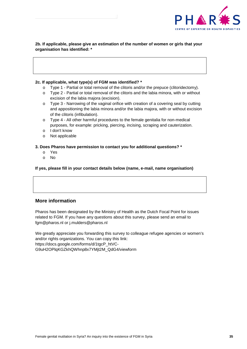

**2b. If applicable, please give an estimation of the number of women or girls that your organisation has identified: \***

#### **2c. If applicable, what type(s) of FGM was identified? \***

- o Type 1 Partial or total removal of the clitoris and/or the prepuce (clitoridectomy).
- o Type 2 Partial or total removal of the clitoris and the labia minora, with or without excision of the labia majora (excision).
- o Type 3 Narrowing of the vaginal orifice with creation of a covering seal by cutting and appositioning the labia minora and/or the labia majora, with or without excision of the clitoris (infibulation).
- o Type 4 All other harmful procedures to the female genitalia for non-medical purposes, for example: pricking, piercing, incising, scraping and cauterization.
- o I don't know
- o Not applicable

**3. Does Pharos have permission to contact you for additional questions? \***

- o Yes
- o No

**If yes, please fill in your contact details below (name, e-mail, name organisation)**

### **More information**

Pharos has been designated by the Ministry of Health as the Dutch Focal Point for issues related to FGM. If you have any questions about this survey, please send an email to fgm@pharos.nl or j.mulders@pharos.nl

We greatly appreciate you forwarding this survey to colleague refugee agencies or women's and/or rights organizations. You can copy this link: https://docs.google.com/forms/d/1tgcP\_htVC-G9uH2OPlqKGZkhQWhnp8x7YMjt2M\_QdG4/viewform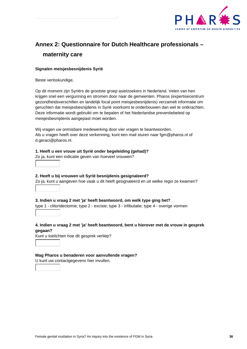

## <span id="page-35-0"></span>**Annex 2: Questionnaire for Dutch Healthcare professionals – maternity care**

#### **Signalen meisjesbesnijdenis Syrië**

Beste verloskundige,

Op dit moment zijn Syriërs de grootste groep asielzoekers in Nederland. Velen van hen krijgen snel een vergunning en stromen door naar de gemeenten. Pharos (expertisecentrum gezondheidsverschillen en landelijk focal point meisjesbesnijdenis) verzamelt informatie om geruchten dat meisjesbesnijdenis in Syrië voorkomt te onderbouwen dan wel te ontkrachten. Deze informatie wordt gebruikt om te bepalen of het Nederlandse preventiebeleid op meisjesbesnijdenis aangepast moet worden.

Wij vragen uw onmisbare medewerking door vier vragen te beantwoorden. Als u vragen heeft over deze verkenning, kunt een mail sturen naar fgm@pharos.nl of d.geraci@pharos.nl.

**1. Heeft u een vrouw uit Syrië onder begeleiding (gehad)?**  Zo ja, kunt een indicatie geven van hoeveel vrouwen?

**2. Heeft u bij vrouwen uit Syrië besnijdenis gesignaleerd?**  Zo ja, kunt u aangeven hoe vaak u dit heeft gesignaleerd en uit welke regio ze kwamen?

**3. Indien u vraag 2 met 'ja' heeft beantwoord, om welk type ging het?**  type 1 - clitoridectomie; type 2 - excisie; type 3 - infibulatie; type 4 - overige vormen

**4. Indien u vraag 2 met 'ja' heeft beantwoord, bent u hierover met de vrouw in gesprek gegaan?** 

Kunt u toelichten hoe dit gesprek verliep?

**Mag Pharos u benaderen voor aanvullende vragen?** 

U kunt uw contactgegevens hier invullen.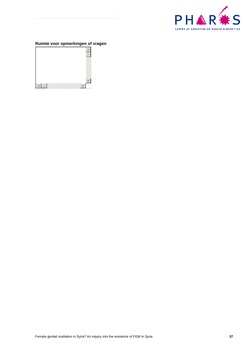

## **Ruimte voor opmerkingen of vragen**

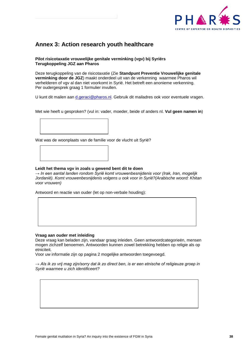

## <span id="page-37-0"></span>**Annex 3: Action research youth healthcare**

#### **Pilot risicotaxatie vrouwelijke genitale verminking (vgv) bij Syriërs Terugkoppeling JGZ aan Pharos**

Deze terugkoppeling van de risicotaxatie (Zie **Standpunt Preventie Vrouwelijke genitale verminking door de JGZ**) maakt onderdeel uit van de verkenning waarmee Pharos wil verhelderen of vgv al dan niet voorkomt in Syrië. Het betreft een anonieme verkenning. Per oudergesprek graag 1 formulier invullen.

U kunt dit mailen aan [d.geraci@pharos.nl.](mailto:d.geraci@pharos.nl) Gebruik dit mailadres ook voor eventuele vragen.

Met wie heeft u gesproken? (vul in: vader, moeder, beide of anders nl. **Vul geen namen in**)



Wat was de woonplaats van de familie voor de vlucht uit Syrië?

#### **Leidt het thema vgv in zoals u gewend bent dit te doen**

*→ In een aantal landen rondom Syrië komt vrouwenbesnijdenis voor (Irak, Iran, mogelijk Jordanië). Komt vrouwenbesnijdenis volgens u ook voor in Syrië?(Arabische woord: Khitan voor vrouwen)*

Antwoord en reactie van ouder (let op non-verbale houding):

#### **Vraag aan ouder met inleiding**

Deze vraag kan beladen zijn, vandaar graag inleiden. Geen antwoordcategorieën, mensen mogen zichzelf benoemen. Antwoorden kunnen zowel betrekking hebben op religie als op etniciteit.

Voor uw informatie zijn op pagina 2 mogelijke antwoorden toegevoegd.

*→ Als ik zo vrij mag zijn/sorry dat ik zo direct ben, is er een etnische of religieuze groep in Syrië waarmee u zich identificeert?*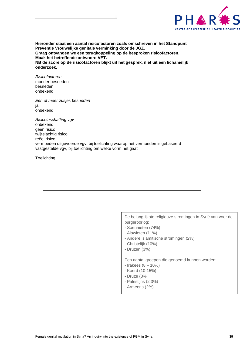

**Hieronder staat een aantal risicofactoren zoals omschreven in het Standpunt Preventie Vrouwelijke genitale verminking door de JGZ. Graag ontvangen we een terugkoppeling op de besproken risicofactoren. Maak het betreffende antwoord VET. NB de score op de risicofactoren blijkt uit het gesprek, niet uit een lichamelijk onderzoek.**

*Risicofactoren* moeder besneden besneden onbekend

*Eén of meer zusjes besneden* ja onbekend

*Risicoinschatting vgv* onbekend geen risico twijfelachtig risico reëel risico vermoeden uitgevoerde vgv, bij toelichting waarop het vermoeden is gebaseerd vastgestelde vgv, bij toelichting om welke vorm het gaat

**Toelichting** 

De belangrijkste religieuze stromingen in Syrië van voor de burgeroorlog:

- Soennieten (74%)
- Alawieten (11%)
- Andere islamitische stromingen (2%)
- Christelijk (10%)
- Druzen (3%)

Een aantal groepen die genoemd kunnen worden:

- Irakees (8 10%)
- Koerd (10-15%)
- Druze (3%
- Palestijns (2,3%)
- Armeens (2%)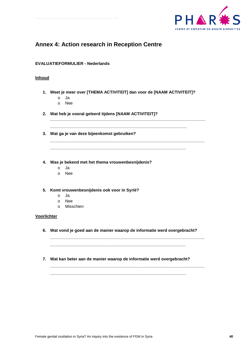

## <span id="page-39-0"></span>**Annex 4: Action research in Reception Centre**

#### **EVALUATIEFORMULIER - Nederlands**

#### **Inhoud**

- **1. Weet je meer over [THEMA ACTIVITEIT] dan voor de [NAAM ACTIVITEIT]?**
	- o Ja
	- o Nee
- **2. Wat heb je vooral geleerd tijdens [NAAM ACTIVITEIT]?**

.......................................................................................................................................

- .......................................................................................................................
- **3. Wat ga je van deze bijeenkomst gebruiken?**

......................................................................................................................................

......................................................................................................................

- **4. Was je bekend met het thema vrouwenbesnijdenis?**
	- o Ja
	- o Nee
- **5. Komt vrouwenbesnijdenis ook voor in Syrië?**
	- o Ja
	- o Nee
	- o Misschien

#### **Voorlichter**

**6. Wat vond je goed aan de manier waarop de informatie werd overgebracht?** 

...................................................................................................................................... ......................................................................................................................

**7. Wat kan beter aan de manier waarop de informatie werd overgebracht?**

...................................................................................................................................... ......................................................................................................................